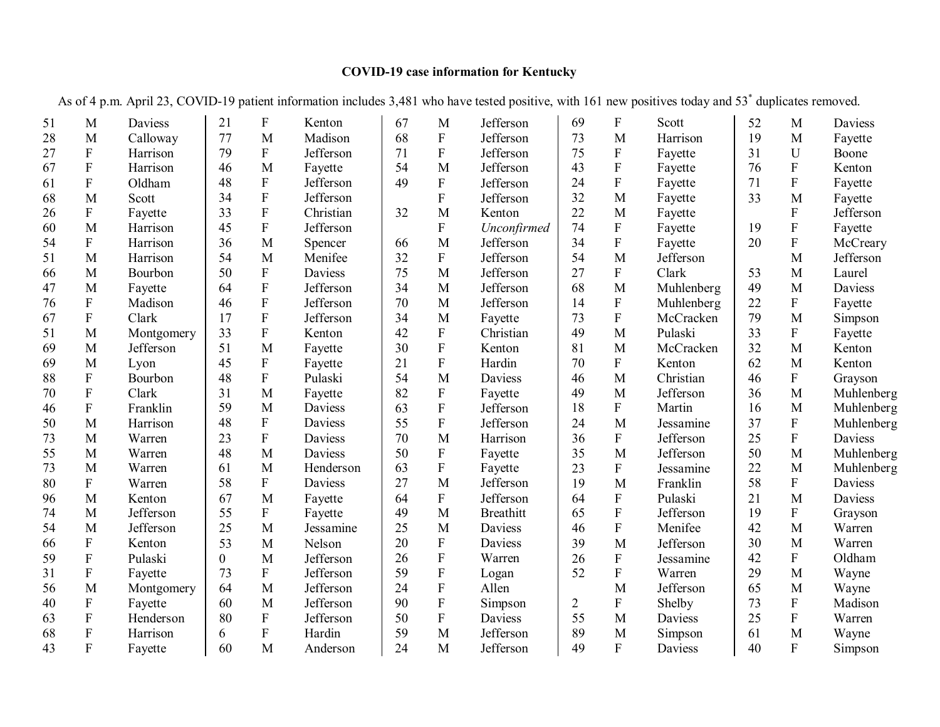## **COVID-19 case information for Kentucky**

| 51 | M              | Daviess    | 21             | ${\bf F}$      | Kenton    | 67 | M            | Jefferson        | 69             | F                         | Scott      | 52 | M            | Daviess        |
|----|----------------|------------|----------------|----------------|-----------|----|--------------|------------------|----------------|---------------------------|------------|----|--------------|----------------|
| 28 | $\mathbf{M}$   | Calloway   | 77             | M              | Madison   | 68 | ${\bf F}$    | Jefferson        | 73             | M                         | Harrison   | 19 | M            | Fayette        |
| 27 | $\mathbf F$    | Harrison   | 79             | $\mathbf{F}$   | Jefferson | 71 | $\mathbf{F}$ | Jefferson        | 75             | $\boldsymbol{\mathrm{F}}$ | Fayette    | 31 | U            | Boone          |
| 67 | $\overline{F}$ | Harrison   | 46             | M              | Fayette   | 54 | M            | Jefferson        | 43             | ${\bf F}$                 | Fayette    | 76 | ${\bf F}$    | Kenton         |
| 61 | $\mathbf F$    | Oldham     | 48             | ${\bf F}$      | Jefferson | 49 | ${\bf F}$    | Jefferson        | 24             | $\mathbf F$               | Fayette    | 71 | ${\bf F}$    | Fayette        |
| 68 | M              | Scott      | 34             | ${\bf F}$      | Jefferson |    | ${\bf F}$    | Jefferson        | 32             | M                         | Fayette    | 33 | M            | Fayette        |
| 26 | ${\bf F}$      | Fayette    | 33             | ${\bf F}$      | Christian | 32 | M            | Kenton           | 22             | M                         | Fayette    |    | ${\bf F}$    | Jefferson      |
| 60 | M              | Harrison   | 45             | ${\bf F}$      | Jefferson |    | ${\bf F}$    | Unconfirmed      | 74             | ${\bf F}$                 | Fayette    | 19 | $\mathbf F$  | Fayette        |
| 54 | $\mathbf F$    | Harrison   | 36             | M              | Spencer   | 66 | M            | Jefferson        | 34             | ${\bf F}$                 | Fayette    | 20 | ${\bf F}$    | McCreary       |
| 51 | M              | Harrison   | 54             | M              | Menifee   | 32 | ${\bf F}$    | Jefferson        | 54             | M                         | Jefferson  |    | M            | Jefferson      |
| 66 | M              | Bourbon    | 50             | ${\bf F}$      | Daviess   | 75 | M            | Jefferson        | 27             | ${\bf F}$                 | Clark      | 53 | M            | Laurel         |
| 47 | M              | Fayette    | 64             | $\overline{F}$ | Jefferson | 34 | M            | Jefferson        | 68             | M                         | Muhlenberg | 49 | M            | <b>Daviess</b> |
| 76 | $\mathbf F$    | Madison    | 46             | ${\bf F}$      | Jefferson | 70 | M            | Jefferson        | 14             | $\boldsymbol{\mathrm{F}}$ | Muhlenberg | 22 | ${\bf F}$    | Fayette        |
| 67 | $\overline{F}$ | Clark      | 17             | $\overline{F}$ | Jefferson | 34 | M            | Fayette          | 73             | $\mathbf F$               | McCracken  | 79 | $\mathbf{M}$ | Simpson        |
| 51 | M              | Montgomery | 33             | $\overline{F}$ | Kenton    | 42 | ${\bf F}$    | Christian        | 49             | M                         | Pulaski    | 33 | ${\bf F}$    | Fayette        |
| 69 | M              | Jefferson  | 51             | M              | Fayette   | 30 | $\mathbf F$  | Kenton           | 81             | M                         | McCracken  | 32 | M            | Kenton         |
| 69 | M              | Lyon       | 45             | $\mathbf{F}$   | Fayette   | 21 | $\mathbf F$  | Hardin           | 70             | $\mathbf F$               | Kenton     | 62 | M            | Kenton         |
| 88 | ${\bf F}$      | Bourbon    | 48             | F              | Pulaski   | 54 | M            | Daviess          | 46             | M                         | Christian  | 46 | ${\bf F}$    | Grayson        |
| 70 | ${\bf F}$      | Clark      | 31             | M              | Fayette   | 82 | ${\bf F}$    | Fayette          | 49             | M                         | Jefferson  | 36 | M            | Muhlenberg     |
| 46 | ${\bf F}$      | Franklin   | 59             | M              | Daviess   | 63 | $\mathbf F$  | Jefferson        | 18             | ${\bf F}$                 | Martin     | 16 | M            | Muhlenberg     |
| 50 | M              | Harrison   | 48             | $\mathbf F$    | Daviess   | 55 | $\rm F$      | Jefferson        | 24             | M                         | Jessamine  | 37 | ${\bf F}$    | Muhlenberg     |
| 73 | M              | Warren     | 23             | ${\bf F}$      | Daviess   | 70 | M            | Harrison         | 36             | $\mathbf F$               | Jefferson  | 25 | ${\bf F}$    | Daviess        |
| 55 | M              | Warren     | 48             | M              | Daviess   | 50 | ${\bf F}$    | Fayette          | 35             | M                         | Jefferson  | 50 | M            | Muhlenberg     |
| 73 | M              | Warren     | 61             | M              | Henderson | 63 | $\mathbf F$  | Fayette          | 23             | $\mathbf F$               | Jessamine  | 22 | M            | Muhlenberg     |
| 80 | ${\bf F}$      | Warren     | 58             | ${\bf F}$      | Daviess   | 27 | M            | Jefferson        | 19             | M                         | Franklin   | 58 | ${\bf F}$    | Daviess        |
| 96 | M              | Kenton     | 67             | M              | Fayette   | 64 | ${\bf F}$    | Jefferson        | 64             | ${\bf F}$                 | Pulaski    | 21 | M            | Daviess        |
| 74 | M              | Jefferson  | 55             | $\mathbf{F}$   | Fayette   | 49 | M            | <b>Breathitt</b> | 65             | ${\bf F}$                 | Jefferson  | 19 | ${\bf F}$    | Grayson        |
| 54 | $\overline{M}$ | Jefferson  | 25             | M              | Jessamine | 25 | M            | Daviess          | 46             | $\mathbf F$               | Menifee    | 42 | M            | Warren         |
| 66 | $\mathbf F$    | Kenton     | 53             | M              | Nelson    | 20 | ${\bf F}$    | Daviess          | 39             | M                         | Jefferson  | 30 | M            | Warren         |
| 59 | $\overline{F}$ | Pulaski    | $\overline{0}$ | M              | Jefferson | 26 | $\mathbf F$  | Warren           | 26             | F                         | Jessamine  | 42 | ${\bf F}$    | Oldham         |
| 31 | $\overline{F}$ | Fayette    | 73             | $\mathbf{F}$   | Jefferson | 59 | $\mathbf F$  | Logan            | 52             | F                         | Warren     | 29 | M            | Wayne          |
| 56 | M              | Montgomery | 64             | M              | Jefferson | 24 | ${\bf F}$    | Allen            |                | M                         | Jefferson  | 65 | M            | Wayne          |
| 40 | ${\bf F}$      | Fayette    | 60             | M              | Jefferson | 90 | ${\bf F}$    | Simpson          | $\overline{2}$ | ${\bf F}$                 | Shelby     | 73 | ${\bf F}$    | Madison        |
| 63 | ${\bf F}$      | Henderson  | 80             | ${\bf F}$      | Jefferson | 50 | ${\bf F}$    | Daviess          | 55             | M                         | Daviess    | 25 | $\mathbf{F}$ | Warren         |
| 68 | $\overline{F}$ | Harrison   | 6              | $\mathbf F$    | Hardin    | 59 | M            | Jefferson        | 89             | M                         | Simpson    | 61 | M            | Wayne          |
| 43 | F              | Fayette    | 60             | M              | Anderson  | 24 | M            | Jefferson        | 49             | $\mathbf{F}$              | Daviess    | 40 | $\mathbf{F}$ | Simpson        |

As of 4 p.m. April 23, COVID-19 patient information includes 3,481 who have tested positive, with 161 new positives today and 53\* duplicates removed.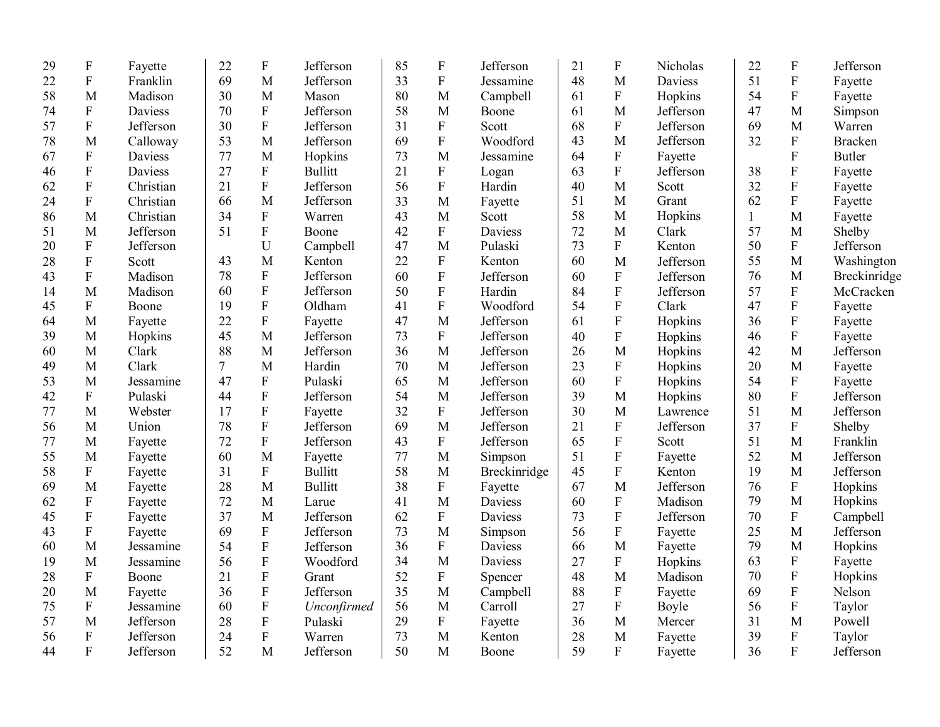| 29 | $\boldsymbol{\mathrm{F}}$ | Fayette        | 22 | ${\bf F}$                 | Jefferson      | 85 | $\boldsymbol{\mathrm{F}}$ | Jefferson      | 21 | $\boldsymbol{\mathrm{F}}$ | Nicholas  | 22           | ${\bf F}$                 | Jefferson      |
|----|---------------------------|----------------|----|---------------------------|----------------|----|---------------------------|----------------|----|---------------------------|-----------|--------------|---------------------------|----------------|
| 22 | ${\bf F}$                 | Franklin       | 69 | M                         | Jefferson      | 33 | ${\bf F}$                 | Jessamine      | 48 | M                         | Daviess   | 51           | ${\bf F}$                 | Fayette        |
| 58 | M                         | Madison        | 30 | M                         | Mason          | 80 | M                         | Campbell       | 61 | ${\bf F}$                 | Hopkins   | 54           | ${\bf F}$                 | Fayette        |
| 74 | ${\bf F}$                 | <b>Daviess</b> | 70 | ${\bf F}$                 | Jefferson      | 58 | M                         | Boone          | 61 | $\mathbf{M}$              | Jefferson | 47           | M                         | Simpson        |
| 57 | $\mathbf F$               | Jefferson      | 30 | $\boldsymbol{\mathrm{F}}$ | Jefferson      | 31 | ${\bf F}$                 | Scott          | 68 | ${\bf F}$                 | Jefferson | 69           | $\mathbf{M}$              | Warren         |
| 78 | M                         | Calloway       | 53 | $\mathbf{M}$              | Jefferson      | 69 | ${\bf F}$                 | Woodford       | 43 | M                         | Jefferson | 32           | ${\bf F}$                 | <b>Bracken</b> |
| 67 | ${\bf F}$                 | Daviess        | 77 | M                         | Hopkins        | 73 | M                         | Jessamine      | 64 | ${\bf F}$                 | Fayette   |              | $\overline{F}$            | <b>Butler</b>  |
| 46 | ${\bf F}$                 | Daviess        | 27 | ${\bf F}$                 | <b>Bullitt</b> | 21 | ${\bf F}$                 | Logan          | 63 | ${\bf F}$                 | Jefferson | 38           | $\mathbf F$               | Fayette        |
| 62 | ${\bf F}$                 | Christian      | 21 | $\boldsymbol{\mathrm{F}}$ | Jefferson      | 56 | ${\bf F}$                 | Hardin         | 40 | M                         | Scott     | 32           | ${\bf F}$                 | Fayette        |
| 24 | ${\bf F}$                 | Christian      | 66 | M                         | Jefferson      | 33 | M                         | Fayette        | 51 | M                         | Grant     | 62           | ${\bf F}$                 | Fayette        |
| 86 | M                         | Christian      | 34 | ${\bf F}$                 | Warren         | 43 | M                         | Scott          | 58 | M                         | Hopkins   | $\mathbf{1}$ | M                         | Fayette        |
| 51 | M                         | Jefferson      | 51 | ${\bf F}$                 | Boone          | 42 | ${\bf F}$                 | Daviess        | 72 | M                         | Clark     | 57           | M                         | Shelby         |
| 20 | ${\bf F}$                 | Jefferson      |    | U                         | Campbell       | 47 | M                         | Pulaski        | 73 | $\boldsymbol{\mathrm{F}}$ | Kenton    | 50           | $\boldsymbol{\mathrm{F}}$ | Jefferson      |
| 28 | $\overline{F}$            | Scott          | 43 | M                         | Kenton         | 22 | ${\bf F}$                 | Kenton         | 60 | $\mathbf{M}$              | Jefferson | 55           | $\mathbf{M}$              | Washington     |
| 43 | ${\bf F}$                 | Madison        | 78 | ${\bf F}$                 | Jefferson      | 60 | ${\bf F}$                 | Jefferson      | 60 | $\mathbf F$               | Jefferson | 76           | M                         | Breckinridge   |
| 14 | $\mathbf{M}$              | Madison        | 60 | $\boldsymbol{\mathrm{F}}$ | Jefferson      | 50 | ${\bf F}$                 | Hardin         | 84 | ${\bf F}$                 | Jefferson | 57           | $\rm F$                   | McCracken      |
| 45 | ${\bf F}$                 | Boone          | 19 | ${\bf F}$                 | Oldham         | 41 | ${\bf F}$                 | Woodford       | 54 | ${\bf F}$                 | Clark     | 47           | ${\bf F}$                 | Fayette        |
| 64 | M                         | Fayette        | 22 | ${\bf F}$                 | Fayette        | 47 | M                         | Jefferson      | 61 | $\mathbf F$               | Hopkins   | 36           | ${\bf F}$                 | Fayette        |
| 39 | M                         | Hopkins        | 45 | M                         | Jefferson      | 73 | ${\bf F}$                 | Jefferson      | 40 | $\mathbf F$               | Hopkins   | 46           | ${\bf F}$                 | Fayette        |
| 60 | M                         | Clark          | 88 | M                         | Jefferson      | 36 | M                         | Jefferson      | 26 | M                         | Hopkins   | 42           | M                         | Jefferson      |
| 49 | M                         | Clark          | 7  | M                         | Hardin         | 70 | $\mathbf{M}$              | Jefferson      | 23 | $\overline{\mathrm{F}}$   | Hopkins   | 20           | $\mathbf{M}$              | Fayette        |
| 53 | M                         | Jessamine      | 47 | $\boldsymbol{\mathrm{F}}$ | Pulaski        | 65 | $\mathbf{M}$              | Jefferson      | 60 | $\overline{\mathrm{F}}$   | Hopkins   | 54           | ${\bf F}$                 | Fayette        |
| 42 | ${\bf F}$                 | Pulaski        | 44 | $\mathbf F$               | Jefferson      | 54 | M                         | Jefferson      | 39 | $\mathbf{M}$              | Hopkins   | 80           | ${\bf F}$                 | Jefferson      |
| 77 | M                         | Webster        | 17 | $\boldsymbol{\mathrm{F}}$ | Fayette        | 32 | ${\bf F}$                 | Jefferson      | 30 | M                         | Lawrence  | 51           | M                         | Jefferson      |
| 56 | M                         | Union          | 78 | ${\bf F}$                 | Jefferson      | 69 | M                         | Jefferson      | 21 | $\boldsymbol{\mathrm{F}}$ | Jefferson | 37           | $\mathbf F$               | Shelby         |
| 77 | M                         | Fayette        | 72 | ${\bf F}$                 | Jefferson      | 43 | ${\bf F}$                 | Jefferson      | 65 | $\mathbf F$               | Scott     | 51           | M                         | Franklin       |
| 55 | M                         | Fayette        | 60 | M                         | Fayette        | 77 | M                         | Simpson        | 51 | $\boldsymbol{\mathrm{F}}$ | Fayette   | 52           | M                         | Jefferson      |
| 58 | $\mathbf F$               | Fayette        | 31 | ${\bf F}$                 | <b>Bullitt</b> | 58 | M                         | Breckinridge   | 45 | ${\bf F}$                 | Kenton    | 19           | M                         | Jefferson      |
| 69 | M                         | Fayette        | 28 | M                         | <b>Bullitt</b> | 38 | $\mathbf{F}$              | Fayette        | 67 | M                         | Jefferson | 76           | ${\bf F}$                 | Hopkins        |
| 62 | ${\bf F}$                 | Fayette        | 72 | M                         | Larue          | 41 | M                         | Daviess        | 60 | ${\bf F}$                 | Madison   | 79           | M                         | Hopkins        |
| 45 | $\boldsymbol{\mathrm{F}}$ | Fayette        | 37 | M                         | Jefferson      | 62 | ${\bf F}$                 | Daviess        | 73 | $\overline{F}$            | Jefferson | 70           | $\mathbf F$               | Campbell       |
| 43 | ${\bf F}$                 | Fayette        | 69 | ${\bf F}$                 | Jefferson      | 73 | M                         | Simpson        | 56 | $\rm F$                   | Fayette   | 25           | M                         | Jefferson      |
| 60 | M                         | Jessamine      | 54 | ${\bf F}$                 | Jefferson      | 36 | ${\bf F}$                 | <b>Daviess</b> | 66 | M                         | Fayette   | 79           | M                         | Hopkins        |
| 19 | M                         | Jessamine      | 56 | $\rm F$                   | Woodford       | 34 | M                         | Daviess        | 27 | ${\bf F}$                 | Hopkins   | 63           | ${\bf F}$                 | Fayette        |
| 28 | ${\bf F}$                 | Boone          | 21 | $\rm F$                   | Grant          | 52 | ${\bf F}$                 | Spencer        | 48 | $\mathbf{M}$              | Madison   | 70           | $\boldsymbol{\mathrm{F}}$ | Hopkins        |
| 20 | M                         | Fayette        | 36 | $\mathbf F$               | Jefferson      | 35 | M                         | Campbell       | 88 | ${\bf F}$                 | Fayette   | 69           | $\mathbf F$               | Nelson         |
| 75 | ${\bf F}$                 | Jessamine      | 60 | $\boldsymbol{\mathrm{F}}$ | Unconfirmed    | 56 | M                         | Carroll        | 27 | $\rm F$                   | Boyle     | 56           | ${\bf F}$                 | Taylor         |
| 57 | M                         | Jefferson      | 28 | ${\bf F}$                 | Pulaski        | 29 | $\mathbf F$               | Fayette        | 36 | M                         | Mercer    | 31           | M                         | Powell         |
| 56 | $\overline{F}$            | Jefferson      | 24 | $\overline{F}$            | Warren         | 73 | $\mathbf{M}$              | Kenton         | 28 | M                         | Fayette   | 39           | $\overline{F}$            | Taylor         |
| 44 | $\overline{F}$            | Jefferson      | 52 | M                         | Jefferson      | 50 | $\mathbf{M}$              | Boone          | 59 | $\rm F$                   | Fayette   | 36           | $\overline{F}$            | Jefferson      |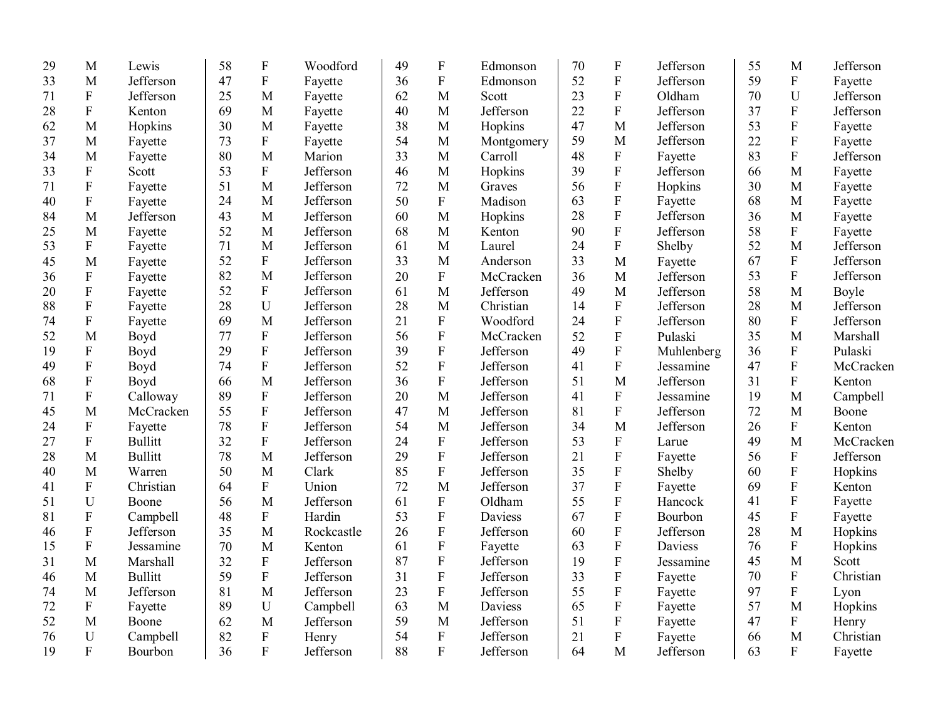| 29 | M                         | Lewis          | 58 | $\boldsymbol{\mathrm{F}}$ | Woodford   | 49 | ${\bf F}$                 | Edmonson   | 70 | $\boldsymbol{\mathrm{F}}$ | Jefferson  | 55 | M                       | Jefferson |
|----|---------------------------|----------------|----|---------------------------|------------|----|---------------------------|------------|----|---------------------------|------------|----|-------------------------|-----------|
| 33 | M                         | Jefferson      | 47 | $\mathbf F$               | Fayette    | 36 | $\mathbf F$               | Edmonson   | 52 | ${\bf F}$                 | Jefferson  | 59 | ${\bf F}$               | Fayette   |
| 71 | $\mathbf{F}$              | Jefferson      | 25 | M                         | Fayette    | 62 | M                         | Scott      | 23 | ${\bf F}$                 | Oldham     | 70 | $\mathbf U$             | Jefferson |
| 28 | $\mathbf{F}$              | Kenton         | 69 | M                         | Fayette    | 40 | M                         | Jefferson  | 22 | ${\bf F}$                 | Jefferson  | 37 | F                       | Jefferson |
| 62 | M                         | Hopkins        | 30 | M                         | Fayette    | 38 | M                         | Hopkins    | 47 | M                         | Jefferson  | 53 | $\overline{F}$          | Fayette   |
| 37 | M                         | Fayette        | 73 | $\boldsymbol{\mathrm{F}}$ | Fayette    | 54 | M                         | Montgomery | 59 | M                         | Jefferson  | 22 | $\overline{F}$          | Fayette   |
| 34 | M                         | Fayette        | 80 | M                         | Marion     | 33 | M                         | Carroll    | 48 | ${\bf F}$                 | Fayette    | 83 | $\overline{F}$          | Jefferson |
| 33 | $\mathbf F$               | Scott          | 53 | $\boldsymbol{\mathrm{F}}$ | Jefferson  | 46 | M                         | Hopkins    | 39 | ${\bf F}$                 | Jefferson  | 66 | M                       | Fayette   |
| 71 | $\mathbf F$               | Fayette        | 51 | M                         | Jefferson  | 72 | M                         | Graves     | 56 | ${\bf F}$                 | Hopkins    | 30 | M                       | Fayette   |
| 40 | $\mathbf{F}$              | Fayette        | 24 | M                         | Jefferson  | 50 | $\mathbf{F}$              | Madison    | 63 | ${\bf F}$                 | Fayette    | 68 | M                       | Fayette   |
| 84 | M                         | Jefferson      | 43 | M                         | Jefferson  | 60 | M                         | Hopkins    | 28 | ${\bf F}$                 | Jefferson  | 36 | M                       | Fayette   |
| 25 | M                         | Fayette        | 52 | M                         | Jefferson  | 68 | M                         | Kenton     | 90 | ${\bf F}$                 | Jefferson  | 58 | ${\bf F}$               | Fayette   |
| 53 | F                         | Fayette        | 71 | M                         | Jefferson  | 61 | M                         | Laurel     | 24 | $\overline{F}$            | Shelby     | 52 | $\mathbf{M}$            | Jefferson |
| 45 | M                         | Fayette        | 52 | $\boldsymbol{\mathrm{F}}$ | Jefferson  | 33 | M                         | Anderson   | 33 | M                         | Fayette    | 67 | $\overline{\mathrm{F}}$ | Jefferson |
| 36 | $\boldsymbol{\mathrm{F}}$ | Fayette        | 82 | M                         | Jefferson  | 20 | $\mathbf F$               | McCracken  | 36 | M                         | Jefferson  | 53 | ${\bf F}$               | Jefferson |
| 20 | ${\bf F}$                 | Fayette        | 52 | $\boldsymbol{\mathrm{F}}$ | Jefferson  | 61 | M                         | Jefferson  | 49 | M                         | Jefferson  | 58 | M                       | Boyle     |
| 88 | ${\bf F}$                 | Fayette        | 28 | $\mathbf U$               | Jefferson  | 28 | M                         | Christian  | 14 | ${\bf F}$                 | Jefferson  | 28 | M                       | Jefferson |
| 74 | $\mathbf{F}$              | Fayette        | 69 | M                         | Jefferson  | 21 | $\overline{F}$            | Woodford   | 24 | ${\bf F}$                 | Jefferson  | 80 | $\mathbf F$             | Jefferson |
| 52 | M                         | Boyd           | 77 | ${\bf F}$                 | Jefferson  | 56 | $\overline{F}$            | McCracken  | 52 | ${\bf F}$                 | Pulaski    | 35 | M                       | Marshall  |
| 19 | F                         | Boyd           | 29 | $\mathbf F$               | Jefferson  | 39 | $\overline{F}$            | Jefferson  | 49 | $\rm F$                   | Muhlenberg | 36 | ${\bf F}$               | Pulaski   |
| 49 | ${\bf F}$                 | Boyd           | 74 | $\mathbf F$               | Jefferson  | 52 | $\overline{F}$            | Jefferson  | 41 | ${\bf F}$                 | Jessamine  | 47 | $\overline{F}$          | McCracken |
| 68 | ${\bf F}$                 | Boyd           | 66 | M                         | Jefferson  | 36 | $\overline{F}$            | Jefferson  | 51 | M                         | Jefferson  | 31 | ${\bf F}$               | Kenton    |
| 71 | ${\bf F}$                 | Calloway       | 89 | ${\bf F}$                 | Jefferson  | 20 | M                         | Jefferson  | 41 | $\boldsymbol{\mathrm{F}}$ | Jessamine  | 19 | M                       | Campbell  |
| 45 | M                         | McCracken      | 55 | ${\bf F}$                 | Jefferson  | 47 | M                         | Jefferson  | 81 | ${\bf F}$                 | Jefferson  | 72 | M                       | Boone     |
| 24 | ${\bf F}$                 | Fayette        | 78 | ${\bf F}$                 | Jefferson  | 54 | M                         | Jefferson  | 34 | M                         | Jefferson  | 26 | $\mathbf F$             | Kenton    |
| 27 | $\mathbf{F}$              | <b>Bullitt</b> | 32 | ${\bf F}$                 | Jefferson  | 24 | ${\bf F}$                 | Jefferson  | 53 | ${\bf F}$                 | Larue      | 49 | M                       | McCracken |
| 28 | M                         | <b>Bullitt</b> | 78 | M                         | Jefferson  | 29 | $\overline{F}$            | Jefferson  | 21 | ${\bf F}$                 | Fayette    | 56 | ${\bf F}$               | Jefferson |
| 40 | M                         | Warren         | 50 | M                         | Clark      | 85 | $\overline{F}$            | Jefferson  | 35 | ${\bf F}$                 | Shelby     | 60 | $\overline{F}$          | Hopkins   |
| 41 | $\boldsymbol{\mathrm{F}}$ | Christian      | 64 | ${\bf F}$                 | Union      | 72 | M                         | Jefferson  | 37 | ${\bf F}$                 | Fayette    | 69 | $\overline{F}$          | Kenton    |
| 51 | U                         | Boone          | 56 | M                         | Jefferson  | 61 | ${\bf F}$                 | Oldham     | 55 | $\mathbf F$               | Hancock    | 41 | ${\bf F}$               | Fayette   |
| 81 | ${\bf F}$                 | Campbell       | 48 | ${\bf F}$                 | Hardin     | 53 | $\overline{F}$            | Daviess    | 67 | ${\bf F}$                 | Bourbon    | 45 | $\rm F$                 | Fayette   |
| 46 | ${\bf F}$                 | Jefferson      | 35 | M                         | Rockcastle | 26 | ${\bf F}$                 | Jefferson  | 60 | ${\bf F}$                 | Jefferson  | 28 | M                       | Hopkins   |
| 15 | $\mathbf{F}$              | Jessamine      | 70 | M                         | Kenton     | 61 | ${\bf F}$                 | Fayette    | 63 | ${\bf F}$                 | Daviess    | 76 | $\mathbf F$             | Hopkins   |
| 31 | M                         | Marshall       | 32 | $\mathbf F$               | Jefferson  | 87 | $\boldsymbol{\mathrm{F}}$ | Jefferson  | 19 | ${\bf F}$                 | Jessamine  | 45 | $\mathbf{M}$            | Scott     |
| 46 | M                         | <b>Bullitt</b> | 59 | ${\bf F}$                 | Jefferson  | 31 | $\boldsymbol{\mathrm{F}}$ | Jefferson  | 33 | $\rm F$                   | Fayette    | 70 | $\mathbf F$             | Christian |
| 74 | M                         | Jefferson      | 81 | M                         | Jefferson  | 23 | ${\bf F}$                 | Jefferson  | 55 | ${\bf F}$                 | Fayette    | 97 | $\rm F$                 | Lyon      |
| 72 | $\boldsymbol{\mathrm{F}}$ | Fayette        | 89 | U                         | Campbell   | 63 | M                         | Daviess    | 65 | ${\bf F}$                 | Fayette    | 57 | $\mathbf{M}$            | Hopkins   |
| 52 | M                         | Boone          | 62 | M                         | Jefferson  | 59 | M                         | Jefferson  | 51 | ${\bf F}$                 | Fayette    | 47 | $\mathbf F$             | Henry     |
| 76 | U                         | Campbell       | 82 | ${\bf F}$                 | Henry      | 54 | $\overline{F}$            | Jefferson  | 21 | ${\bf F}$                 | Fayette    | 66 | M                       | Christian |
| 19 | $\mathbf{F}$              | Bourbon        | 36 | F                         | Jefferson  | 88 | $\overline{F}$            | Jefferson  | 64 | M                         | Jefferson  | 63 | $\mathbf F$             | Fayette   |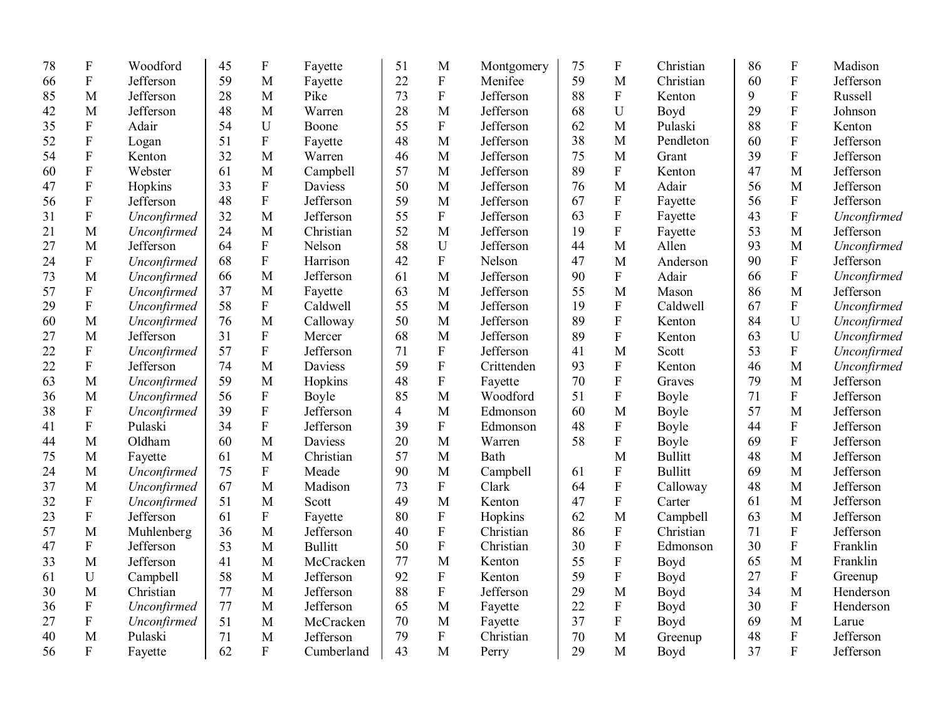| 78 | $\boldsymbol{\mathrm{F}}$ | Woodford    | 45 | ${\bf F}$                 | Fayette        | 51             | M           | Montgomery | 75 | ${\bf F}$                 | Christian      | 86 | F              | Madison     |
|----|---------------------------|-------------|----|---------------------------|----------------|----------------|-------------|------------|----|---------------------------|----------------|----|----------------|-------------|
| 66 | ${\bf F}$                 | Jefferson   | 59 | M                         | Fayette        | 22             | ${\bf F}$   | Menifee    | 59 | M                         | Christian      | 60 | $\mathbf F$    | Jefferson   |
| 85 | M                         | Jefferson   | 28 | M                         | Pike           | 73             | ${\bf F}$   | Jefferson  | 88 | ${\bf F}$                 | Kenton         | 9  | ${\bf F}$      | Russell     |
| 42 | M                         | Jefferson   | 48 | M                         | Warren         | 28             | M           | Jefferson  | 68 | $\mathbf U$               | Boyd           | 29 | F              | Johnson     |
| 35 | ${\bf F}$                 | Adair       | 54 | U                         | Boone          | 55             | ${\bf F}$   | Jefferson  | 62 | M                         | Pulaski        | 88 | $\mathbf F$    | Kenton      |
| 52 | ${\bf F}$                 | Logan       | 51 | ${\bf F}$                 | Fayette        | 48             | M           | Jefferson  | 38 | $\mathbf{M}$              | Pendleton      | 60 | $\overline{F}$ | Jefferson   |
| 54 | $\rm F$                   | Kenton      | 32 | M                         | Warren         | 46             | M           | Jefferson  | 75 | M                         | Grant          | 39 | F              | Jefferson   |
| 60 | ${\bf F}$                 | Webster     | 61 | M                         | Campbell       | 57             | M           | Jefferson  | 89 | $\mathbf F$               | Kenton         | 47 | M              | Jefferson   |
| 47 | ${\bf F}$                 | Hopkins     | 33 | $\overline{F}$            | Daviess        | 50             | M           | Jefferson  | 76 | M                         | Adair          | 56 | M              | Jefferson   |
| 56 | ${\bf F}$                 | Jefferson   | 48 | $\overline{F}$            | Jefferson      | 59             | M           | Jefferson  | 67 | ${\bf F}$                 | Fayette        | 56 | ${\bf F}$      | Jefferson   |
| 31 | ${\bf F}$                 | Unconfirmed | 32 | M                         | Jefferson      | 55             | ${\bf F}$   | Jefferson  | 63 | ${\bf F}$                 | Fayette        | 43 | F              | Unconfirmed |
| 21 | M                         | Unconfirmed | 24 | M                         | Christian      | 52             | M           | Jefferson  | 19 | $\mathbf F$               | Fayette        | 53 | M              | Jefferson   |
| 27 | M                         | Jefferson   | 64 | ${\bf F}$                 | Nelson         | 58             | U           | Jefferson  | 44 | M                         | Allen          | 93 | M              | Unconfirmed |
| 24 | ${\bf F}$                 | Unconfirmed | 68 | $\boldsymbol{\mathrm{F}}$ | Harrison       | 42             | ${\bf F}$   | Nelson     | 47 | $\mathbf{M}$              | Anderson       | 90 | ${\bf F}$      | Jefferson   |
| 73 | M                         | Unconfirmed | 66 | M                         | Jefferson      | 61             | M           | Jefferson  | 90 | $\boldsymbol{\mathrm{F}}$ | Adair          | 66 | ${\bf F}$      | Unconfirmed |
| 57 | ${\bf F}$                 | Unconfirmed | 37 | M                         | Fayette        | 63             | M           | Jefferson  | 55 | M                         | Mason          | 86 | M              | Jefferson   |
| 29 | ${\bf F}$                 | Unconfirmed | 58 | ${\bf F}$                 | Caldwell       | 55             | M           | Jefferson  | 19 | ${\bf F}$                 | Caldwell       | 67 | $\mathbf F$    | Unconfirmed |
| 60 | M                         | Unconfirmed | 76 | M                         | Calloway       | 50             | M           | Jefferson  | 89 | $\rm F$                   | Kenton         | 84 | U              | Unconfirmed |
| 27 | M                         | Jefferson   | 31 | $\mathbf F$               | Mercer         | 68             | M           | Jefferson  | 89 | $\boldsymbol{\mathrm{F}}$ | Kenton         | 63 | U              | Unconfirmed |
| 22 | ${\bf F}$                 | Unconfirmed | 57 | $\overline{F}$            | Jefferson      | 71             | ${\bf F}$   | Jefferson  | 41 | M                         | Scott          | 53 | $\mathbf F$    | Unconfirmed |
| 22 | ${\bf F}$                 | Jefferson   | 74 | M                         | Daviess        | 59             | ${\bf F}$   | Crittenden | 93 | ${\bf F}$                 | Kenton         | 46 | M              | Unconfirmed |
| 63 | M                         | Unconfirmed | 59 | M                         | Hopkins        | 48             | ${\bf F}$   | Fayette    | 70 | ${\bf F}$                 | Graves         | 79 | M              | Jefferson   |
| 36 | M                         | Unconfirmed | 56 | $\boldsymbol{\mathrm{F}}$ | Boyle          | 85             | M           | Woodford   | 51 | ${\bf F}$                 | Boyle          | 71 | ${\bf F}$      | Jefferson   |
| 38 | $\mathbf F$               | Unconfirmed | 39 | ${\bf F}$                 | Jefferson      | $\overline{4}$ | M           | Edmonson   | 60 | M                         | Boyle          | 57 | M              | Jefferson   |
| 41 | $\mathbf F$               | Pulaski     | 34 | ${\bf F}$                 | Jefferson      | 39             | ${\bf F}$   | Edmonson   | 48 | ${\bf F}$                 | Boyle          | 44 | ${\bf F}$      | Jefferson   |
| 44 | M                         | Oldham      | 60 | M                         | <b>Daviess</b> | 20             | M           | Warren     | 58 | ${\bf F}$                 | Boyle          | 69 | $\overline{F}$ | Jefferson   |
| 75 | M                         | Fayette     | 61 | M                         | Christian      | 57             | M           | Bath       |    | M                         | <b>Bullitt</b> | 48 | M              | Jefferson   |
| 24 | $\mathbf{M}$              | Unconfirmed | 75 | ${\bf F}$                 | Meade          | 90             | M           | Campbell   | 61 | ${\bf F}$                 | <b>Bullitt</b> | 69 | M              | Jefferson   |
| 37 | M                         | Unconfirmed | 67 | M                         | Madison        | 73             | ${\bf F}$   | Clark      | 64 | $\rm F$                   | Calloway       | 48 | M              | Jefferson   |
| 32 | ${\bf F}$                 | Unconfirmed | 51 | M                         | Scott          | 49             | M           | Kenton     | 47 | ${\bf F}$                 | Carter         | 61 | M              | Jefferson   |
| 23 | ${\bf F}$                 | Jefferson   | 61 | ${\bf F}$                 | Fayette        | 80             | ${\bf F}$   | Hopkins    | 62 | M                         | Campbell       | 63 | M              | Jefferson   |
| 57 | M                         | Muhlenberg  | 36 | M                         | Jefferson      | 40             | ${\bf F}$   | Christian  | 86 | ${\bf F}$                 | Christian      | 71 | ${\bf F}$      | Jefferson   |
| 47 | ${\bf F}$                 | Jefferson   | 53 | M                         | <b>Bullitt</b> | 50             | ${\bf F}$   | Christian  | 30 | ${\bf F}$                 | Edmonson       | 30 | ${\bf F}$      | Franklin    |
| 33 | M                         | Jefferson   | 41 | M                         | McCracken      | 77             | M           | Kenton     | 55 | ${\bf F}$                 | Boyd           | 65 | M              | Franklin    |
| 61 | U                         | Campbell    | 58 | M                         | Jefferson      | 92             | ${\bf F}$   | Kenton     | 59 | $\overline{F}$            | Boyd           | 27 | $\mathbf F$    | Greenup     |
| 30 | M                         | Christian   | 77 | M                         | Jefferson      | 88             | $\mathbf F$ | Jefferson  | 29 | M                         | Boyd           | 34 | M              | Henderson   |
| 36 | ${\bf F}$                 | Unconfirmed | 77 | $\mathbf M$               | Jefferson      | 65             | M           | Fayette    | 22 | ${\bf F}$                 | Boyd           | 30 | ${\bf F}$      | Henderson   |
| 27 | ${\bf F}$                 | Unconfirmed | 51 | M                         | McCracken      | 70             | M           | Fayette    | 37 | $\rm F$                   | Boyd           | 69 | $\overline{M}$ | Larue       |
| 40 | M                         | Pulaski     | 71 | M                         | Jefferson      | 79             | ${\bf F}$   | Christian  | 70 | M                         | Greenup        | 48 | ${\bf F}$      | Jefferson   |
| 56 | ${\bf F}$                 | Fayette     | 62 | $\mathbf{F}$              | Cumberland     | 43             | M           | Perry      | 29 | M                         | Boyd           | 37 | F              | Jefferson   |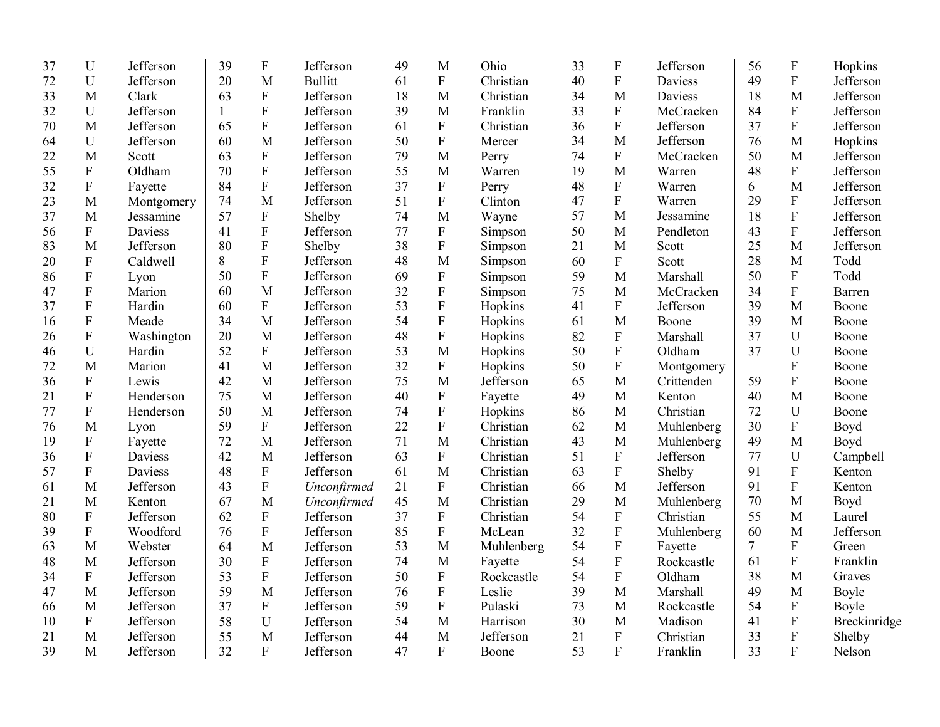| 37 | U                         | Jefferson  | 39           | $\boldsymbol{\mathrm{F}}$ | Jefferson      | 49 | M                         | Ohio       | 33 | ${\bf F}$                 | Jefferson  | 56             | $\boldsymbol{\mathrm{F}}$ | Hopkins      |
|----|---------------------------|------------|--------------|---------------------------|----------------|----|---------------------------|------------|----|---------------------------|------------|----------------|---------------------------|--------------|
| 72 | U                         | Jefferson  | 20           | M                         | <b>Bullitt</b> | 61 | $\mathbf F$               | Christian  | 40 | $\boldsymbol{\mathrm{F}}$ | Daviess    | 49             | $\rm F$                   | Jefferson    |
| 33 | M                         | Clark      | 63           | ${\bf F}$                 | Jefferson      | 18 | M                         | Christian  | 34 | M                         | Daviess    | 18             | M                         | Jefferson    |
| 32 | U                         | Jefferson  | $\mathbf{1}$ | ${\bf F}$                 | Jefferson      | 39 | M                         | Franklin   | 33 | ${\bf F}$                 | McCracken  | 84             | ${\bf F}$                 | Jefferson    |
| 70 | M                         | Jefferson  | 65           | ${\bf F}$                 | Jefferson      | 61 | $\mathbf F$               | Christian  | 36 | $\mathbf F$               | Jefferson  | 37             | F                         | Jefferson    |
| 64 | U                         | Jefferson  | 60           | M                         | Jefferson      | 50 | F                         | Mercer     | 34 | $\mathbf{M}$              | Jefferson  | 76             | M                         | Hopkins      |
| 22 | M                         | Scott      | 63           | ${\bf F}$                 | Jefferson      | 79 | M                         | Perry      | 74 | $\mathbf F$               | McCracken  | 50             | M                         | Jefferson    |
| 55 | $\mathbf F$               | Oldham     | 70           | $\rm F$                   | Jefferson      | 55 | M                         | Warren     | 19 | M                         | Warren     | 48             | $\rm F$                   | Jefferson    |
| 32 | ${\bf F}$                 | Fayette    | 84           | $\rm F$                   | Jefferson      | 37 | ${\bf F}$                 | Perry      | 48 | ${\bf F}$                 | Warren     | 6              | M                         | Jefferson    |
| 23 | M                         | Montgomery | 74           | M                         | Jefferson      | 51 | ${\bf F}$                 | Clinton    | 47 | $\mathbf F$               | Warren     | 29             | ${\bf F}$                 | Jefferson    |
| 37 | M                         | Jessamine  | 57           | $\mathbf F$               | Shelby         | 74 | M                         | Wayne      | 57 | M                         | Jessamine  | 18             | $\overline{F}$            | Jefferson    |
| 56 | $\mathbf F$               | Daviess    | 41           | $\rm F$                   | Jefferson      | 77 | ${\bf F}$                 | Simpson    | 50 | M                         | Pendleton  | 43             | $\mathbf{F}$              | Jefferson    |
| 83 | M                         | Jefferson  | 80           | $\rm F$                   | Shelby         | 38 | ${\bf F}$                 | Simpson    | 21 | M                         | Scott      | 25             | M                         | Jefferson    |
| 20 | $\mathbf F$               | Caldwell   | 8            | $\overline{F}$            | Jefferson      | 48 | M                         | Simpson    | 60 | $\mathbf{F}$              | Scott      | 28             | M                         | Todd         |
| 86 | ${\bf F}$                 | Lyon       | 50           | $\rm F$                   | Jefferson      | 69 | ${\bf F}$                 | Simpson    | 59 | M                         | Marshall   | 50             | ${\bf F}$                 | Todd         |
| 47 | ${\bf F}$                 | Marion     | 60           | M                         | Jefferson      | 32 | ${\bf F}$                 | Simpson    | 75 | M                         | McCracken  | 34             | ${\bf F}$                 | Barren       |
| 37 | ${\bf F}$                 | Hardin     | 60           | $\mathbf F$               | Jefferson      | 53 | ${\bf F}$                 | Hopkins    | 41 | $\boldsymbol{\mathrm{F}}$ | Jefferson  | 39             | M                         | Boone        |
| 16 | ${\bf F}$                 | Meade      | 34           | M                         | Jefferson      | 54 | ${\bf F}$                 | Hopkins    | 61 | M                         | Boone      | 39             | M                         | Boone        |
| 26 | ${\bf F}$                 | Washington | 20           | M                         | Jefferson      | 48 | $\boldsymbol{\mathrm{F}}$ | Hopkins    | 82 | $\overline{\mathrm{F}}$   | Marshall   | 37             | U                         | Boone        |
| 46 | U                         | Hardin     | 52           | $\boldsymbol{\mathrm{F}}$ | Jefferson      | 53 | M                         | Hopkins    | 50 | $\boldsymbol{\mathrm{F}}$ | Oldham     | 37             | U                         | Boone        |
| 72 | M                         | Marion     | 41           | M                         | Jefferson      | 32 | $\boldsymbol{\mathrm{F}}$ | Hopkins    | 50 | $\mathbf F$               | Montgomery |                | ${\bf F}$                 | Boone        |
| 36 | $\boldsymbol{\mathrm{F}}$ | Lewis      | 42           | $\mathbf{M}$              | Jefferson      | 75 | M                         | Jefferson  | 65 | M                         | Crittenden | 59             | ${\bf F}$                 | Boone        |
| 21 | $\boldsymbol{\mathrm{F}}$ | Henderson  | 75           | $\mathbf{M}$              | Jefferson      | 40 | ${\bf F}$                 | Fayette    | 49 | M                         | Kenton     | 40             | M                         | Boone        |
| 77 | ${\bf F}$                 | Henderson  | 50           | M                         | Jefferson      | 74 | ${\bf F}$                 | Hopkins    | 86 | M                         | Christian  | 72             | U                         | Boone        |
| 76 | M                         | Lyon       | 59           | $\rm F$                   | Jefferson      | 22 | $\rm F$                   | Christian  | 62 | M                         | Muhlenberg | 30             | ${\bf F}$                 | Boyd         |
| 19 | ${\bf F}$                 | Fayette    | 72           | M                         | Jefferson      | 71 | M                         | Christian  | 43 | M                         | Muhlenberg | 49             | M                         | Boyd         |
| 36 | ${\bf F}$                 | Daviess    | 42           | M                         | Jefferson      | 63 | $\boldsymbol{\mathrm{F}}$ | Christian  | 51 | $\boldsymbol{\mathrm{F}}$ | Jefferson  | 77             | U                         | Campbell     |
| 57 | ${\bf F}$                 | Daviess    | 48           | ${\bf F}$                 | Jefferson      | 61 | M                         | Christian  | 63 | $\boldsymbol{\mathrm{F}}$ | Shelby     | 91             | ${\bf F}$                 | Kenton       |
| 61 | M                         | Jefferson  | 43           | ${\bf F}$                 | Unconfirmed    | 21 | $\boldsymbol{\mathrm{F}}$ | Christian  | 66 | M                         | Jefferson  | 91             | $\overline{F}$            | Kenton       |
| 21 | M                         | Kenton     | 67           | M                         | Unconfirmed    | 45 | M                         | Christian  | 29 | M                         | Muhlenberg | 70             | $\mathbf{M}$              | Boyd         |
| 80 | $\mathbf F$               | Jefferson  | 62           | $\rm F$                   | Jefferson      | 37 | $\mathbf F$               | Christian  | 54 | $\boldsymbol{\mathrm{F}}$ | Christian  | 55             | M                         | Laurel       |
| 39 | ${\bf F}$                 | Woodford   | 76           | $\rm F$                   | Jefferson      | 85 | $\mathbf F$               | McLean     | 32 | $\mathbf F$               | Muhlenberg | 60             | M                         | Jefferson    |
| 63 | M                         | Webster    | 64           | M                         | Jefferson      | 53 | M                         | Muhlenberg | 54 | $\mathbf F$               | Fayette    | $\overline{7}$ | ${\bf F}$                 | Green        |
| 48 | M                         | Jefferson  | 30           | ${\bf F}$                 | Jefferson      | 74 | M                         | Fayette    | 54 | $\rm F$                   | Rockcastle | 61             | ${\bf F}$                 | Franklin     |
| 34 | $\boldsymbol{\mathrm{F}}$ | Jefferson  | 53           | ${\bf F}$                 | Jefferson      | 50 | $\mathbf F$               | Rockcastle | 54 | F                         | Oldham     | 38             | M                         | Graves       |
| 47 | M                         | Jefferson  | 59           | M                         | Jefferson      | 76 | ${\bf F}$                 | Leslie     | 39 | M                         | Marshall   | 49             | M                         | Boyle        |
| 66 | M                         | Jefferson  | 37           | ${\bf F}$                 | Jefferson      | 59 | $\mathbf F$               | Pulaski    | 73 | M                         | Rockcastle | 54             | ${\bf F}$                 | Boyle        |
| 10 | $\boldsymbol{\mathrm{F}}$ | Jefferson  | 58           | U                         | Jefferson      | 54 | M                         | Harrison   | 30 | M                         | Madison    | 41             | $\rm F$                   | Breckinridge |
| 21 | M                         | Jefferson  | 55           | M                         | Jefferson      | 44 | M                         | Jefferson  | 21 | ${\bf F}$                 | Christian  | 33             | ${\bf F}$                 | Shelby       |
| 39 | M                         | Jefferson  | 32           | $\overline{F}$            | Jefferson      | 47 | $\mathbf{F}$              | Boone      | 53 | $\rm F$                   | Franklin   | 33             | $\overline{F}$            | Nelson       |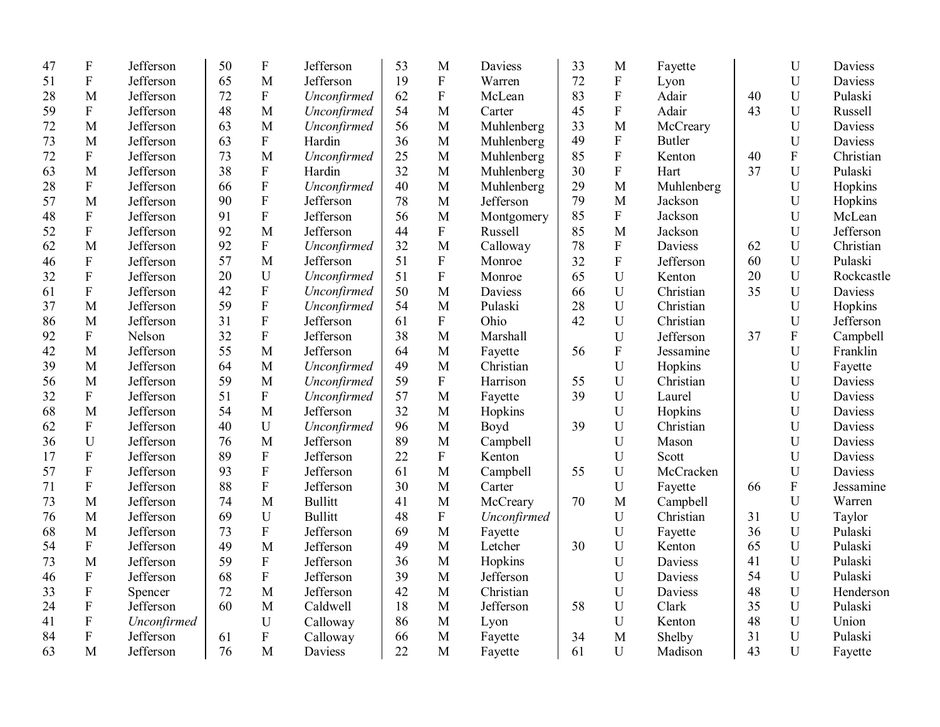| 47 | $\boldsymbol{\mathrm{F}}$ | Jefferson   | 50 | ${\bf F}$                 | Jefferson      | 53 | M                | <b>Daviess</b> | 33 | M           | Fayette       |    | U                         | <b>Daviess</b> |
|----|---------------------------|-------------|----|---------------------------|----------------|----|------------------|----------------|----|-------------|---------------|----|---------------------------|----------------|
| 51 | ${\bf F}$                 | Jefferson   | 65 | M                         | Jefferson      | 19 | ${\bf F}$        | Warren         | 72 | ${\bf F}$   | Lyon          |    | U                         | Daviess        |
| 28 | M                         | Jefferson   | 72 | $\boldsymbol{\mathrm{F}}$ | Unconfirmed    | 62 | ${\bf F}$        | McLean         | 83 | ${\bf F}$   | Adair         | 40 | U                         | Pulaski        |
| 59 | $\boldsymbol{\mathrm{F}}$ | Jefferson   | 48 | M                         | Unconfirmed    | 54 | M                | Carter         | 45 | ${\bf F}$   | Adair         | 43 | U                         | Russell        |
| 72 | M                         | Jefferson   | 63 | M                         | Unconfirmed    | 56 | M                | Muhlenberg     | 33 | M           | McCreary      |    | U                         | Daviess        |
| 73 | M                         | Jefferson   | 63 | $\mathbf{F}$              | Hardin         | 36 | $\mathbf{M}$     | Muhlenberg     | 49 | ${\bf F}$   | <b>Butler</b> |    | U                         | Daviess        |
| 72 | $\mathbf{F}$              | Jefferson   | 73 | M                         | Unconfirmed    | 25 | M                | Muhlenberg     | 85 | ${\bf F}$   | Kenton        | 40 | $\mathbf F$               | Christian      |
| 63 | M                         | Jefferson   | 38 | $\boldsymbol{\mathrm{F}}$ | Hardin         | 32 | $\mathbf{M}$     | Muhlenberg     | 30 | ${\bf F}$   | Hart          | 37 | ${\bf U}$                 | Pulaski        |
| 28 | $\boldsymbol{\mathrm{F}}$ | Jefferson   | 66 | $\rm F$                   | Unconfirmed    | 40 | $\mathbf{M}$     | Muhlenberg     | 29 | M           | Muhlenberg    |    | U                         | Hopkins        |
| 57 | M                         | Jefferson   | 90 | $\mathbf F$               | Jefferson      | 78 | $\mathbf{M}$     | Jefferson      | 79 | M           | Jackson       |    | $\mathbf U$               | Hopkins        |
| 48 | $\boldsymbol{\mathrm{F}}$ | Jefferson   | 91 | ${\bf F}$                 | Jefferson      | 56 | M                | Montgomery     | 85 | ${\bf F}$   | Jackson       |    | $\mathbf U$               | McLean         |
| 52 | ${\bf F}$                 | Jefferson   | 92 | M                         | Jefferson      | 44 | $\mathbf{F}$     | Russell        | 85 | M           | Jackson       |    | U                         | Jefferson      |
| 62 | M                         | Jefferson   | 92 | $\rm F$                   | Unconfirmed    | 32 | M                | Calloway       | 78 | ${\bf F}$   | Daviess       | 62 | U                         | Christian      |
| 46 | $\mathbf F$               | Jefferson   | 57 | M                         | Jefferson      | 51 | $\boldsymbol{F}$ | Monroe         | 32 | ${\bf F}$   | Jefferson     | 60 | U                         | Pulaski        |
| 32 | ${\bf F}$                 | Jefferson   | 20 | U                         | Unconfirmed    | 51 | ${\bf F}$        | Monroe         | 65 | U           | Kenton        | 20 | U                         | Rockcastle     |
| 61 | ${\bf F}$                 | Jefferson   | 42 | $\rm F$                   | Unconfirmed    | 50 | $\mathbf{M}$     | <b>Daviess</b> | 66 | $\mathbf U$ | Christian     | 35 | U                         | Daviess        |
| 37 | M                         | Jefferson   | 59 | ${\bf F}$                 | Unconfirmed    | 54 | $\mathbf{M}$     | Pulaski        | 28 | $\mathbf U$ | Christian     |    | $\mathbf U$               | Hopkins        |
| 86 | M                         | Jefferson   | 31 | ${\bf F}$                 | Jefferson      | 61 | $\mathbf{F}$     | Ohio           | 42 | U           | Christian     |    | $\mathbf U$               | Jefferson      |
| 92 | ${\bf F}$                 | Nelson      | 32 | ${\bf F}$                 | Jefferson      | 38 | M                | Marshall       |    | U           | Jefferson     | 37 | $\boldsymbol{\mathrm{F}}$ | Campbell       |
| 42 | M                         | Jefferson   | 55 | M                         | Jefferson      | 64 | M                | Fayette        | 56 | ${\bf F}$   | Jessamine     |    | U                         | Franklin       |
| 39 | M                         | Jefferson   | 64 | $\mathbf{M}$              | Unconfirmed    | 49 | $\mathbf{M}$     | Christian      |    | U           | Hopkins       |    | U                         | Fayette        |
| 56 | M                         | Jefferson   | 59 | $\mathbf{M}$              | Unconfirmed    | 59 | $\rm F$          | Harrison       | 55 | U           | Christian     |    | U                         | Daviess        |
| 32 | $\boldsymbol{\mathrm{F}}$ | Jefferson   | 51 | ${\bf F}$                 | Unconfirmed    | 57 | $\mathbf{M}$     | Fayette        | 39 | $\mathbf U$ | Laurel        |    | U                         | Daviess        |
| 68 | M                         | Jefferson   | 54 | M                         | Jefferson      | 32 | M                | Hopkins        |    | U           | Hopkins       |    | U                         | Daviess        |
| 62 | ${\bf F}$                 | Jefferson   | 40 | U                         | Unconfirmed    | 96 | M                | Boyd           | 39 | U           | Christian     |    | $\mathbf U$               | Daviess        |
| 36 | U                         | Jefferson   | 76 | M                         | Jefferson      | 89 | M                | Campbell       |    | U           | Mason         |    | U                         | Daviess        |
| 17 | $\boldsymbol{\mathrm{F}}$ | Jefferson   | 89 | ${\bf F}$                 | Jefferson      | 22 | $\mathbf{F}$     | Kenton         |    | U           | Scott         |    | $\mathbf U$               | Daviess        |
| 57 | ${\bf F}$                 | Jefferson   | 93 | ${\bf F}$                 | Jefferson      | 61 | M                | Campbell       | 55 | U           | McCracken     |    | $\mathbf U$               | Daviess        |
| 71 | $\mathbf F$               | Jefferson   | 88 | ${\bf F}$                 | Jefferson      | 30 | M                | Carter         |    | $\mathbf U$ | Fayette       | 66 | $\mathbf F$               | Jessamine      |
| 73 | M                         | Jefferson   | 74 | M                         | <b>Bullitt</b> | 41 | M                | McCreary       | 70 | M           | Campbell      |    | U                         | Warren         |
| 76 | $\mathbf M$               | Jefferson   | 69 | U                         | <b>Bullitt</b> | 48 | ${\bf F}$        | Unconfirmed    |    | U           | Christian     | 31 | $\mathbf U$               | Taylor         |
| 68 | M                         | Jefferson   | 73 | ${\bf F}$                 | Jefferson      | 69 | M                | Fayette        |    | $\mathbf U$ | Fayette       | 36 | U                         | Pulaski        |
| 54 | ${\bf F}$                 | Jefferson   | 49 | M                         | Jefferson      | 49 | M                | Letcher        | 30 | U           | Kenton        | 65 | U                         | Pulaski        |
| 73 | M                         | Jefferson   | 59 | ${\bf F}$                 | Jefferson      | 36 | M                | Hopkins        |    | U           | Daviess       | 41 | U                         | Pulaski        |
| 46 | $\boldsymbol{\mathrm{F}}$ | Jefferson   | 68 | ${\bf F}$                 | Jefferson      | 39 | M                | Jefferson      |    | U           | Daviess       | 54 | U                         | Pulaski        |
| 33 | ${\bf F}$                 | Spencer     | 72 | $\mathbf{M}$              | Jefferson      | 42 | M                | Christian      |    | U           | Daviess       | 48 | U                         | Henderson      |
| 24 | ${\bf F}$                 | Jefferson   | 60 | M                         | Caldwell       | 18 | M                | Jefferson      | 58 | U           | Clark         | 35 | $\mathbf U$               | Pulaski        |
| 41 | ${\bf F}$                 | Unconfirmed |    | U                         | Calloway       | 86 | M                | Lyon           |    | U           | Kenton        | 48 | $\mathbf U$               | Union          |
| 84 | ${\bf F}$                 | Jefferson   | 61 | ${\bf F}$                 | Calloway       | 66 | M                | Fayette        | 34 | M           | Shelby        | 31 | $\mathbf U$               | Pulaski        |
| 63 | M                         | Jefferson   | 76 | M                         | Daviess        | 22 | M                | Fayette        | 61 | U           | Madison       | 43 | $\mathbf{U}$              | Fayette        |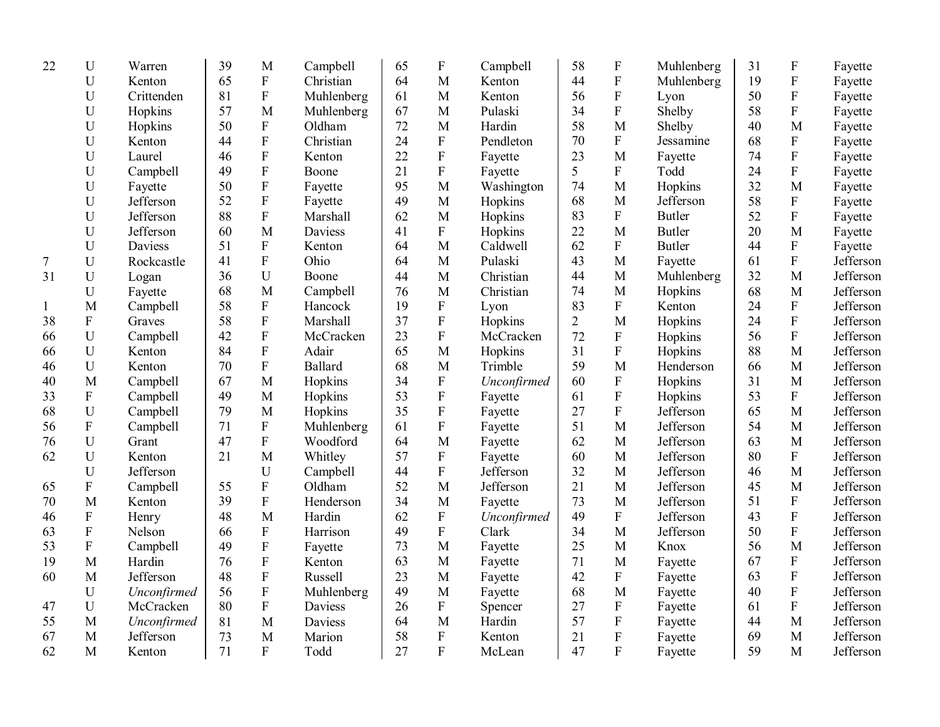| $\mathbf U$               | Warren         | 39       | M                         | Campbell       | 65 | ${\bf F}$                 | Campbell    | 58                               | $\boldsymbol{\mathrm{F}}$ | Muhlenberg    | 31      | ${\bf F}$                 | Fayette   |
|---------------------------|----------------|----------|---------------------------|----------------|----|---------------------------|-------------|----------------------------------|---------------------------|---------------|---------|---------------------------|-----------|
| U                         | Kenton         | 65       | ${\bf F}$                 | Christian      | 64 | M                         | Kenton      | 44                               | $\boldsymbol{\mathrm{F}}$ | Muhlenberg    | 19      | ${\bf F}$                 | Fayette   |
| U                         | Crittenden     | 81       | $\mathbf F$               | Muhlenberg     | 61 | M                         | Kenton      | 56                               | ${\bf F}$                 | Lyon          | 50      | ${\bf F}$                 | Fayette   |
| U                         | Hopkins        | 57       | $\mathbf{M}$              | Muhlenberg     | 67 | M                         | Pulaski     | 34                               | ${\bf F}$                 | Shelby        | 58      | ${\bf F}$                 | Fayette   |
| U                         | Hopkins        | 50       | ${\bf F}$                 | Oldham         | 72 | M                         | Hardin      | 58                               | $\mathbf{M}$              | Shelby        | 40      | M                         | Fayette   |
| U                         | Kenton         | 44       | $\boldsymbol{\mathrm{F}}$ | Christian      | 24 | ${\bf F}$                 | Pendleton   | 70                               | ${\bf F}$                 | Jessamine     | 68      | ${\bf F}$                 | Fayette   |
| U                         | Laurel         | 46       | ${\bf F}$                 | Kenton         | 22 | ${\bf F}$                 | Fayette     | 23                               | M                         | Fayette       | 74      | ${\bf F}$                 | Fayette   |
| ${\bf U}$                 | Campbell       | 49       | ${\bf F}$                 | Boone          | 21 | $\overline{F}$            | Fayette     | 5                                | ${\bf F}$                 | Todd          | 24      | ${\bf F}$                 | Fayette   |
| U                         | Fayette        | 50       | $\boldsymbol{\mathrm{F}}$ | Fayette        | 95 | M                         |             | 74                               | $\mathbf{M}$              | Hopkins       | 32      | M                         | Fayette   |
| U                         | Jefferson      | 52       | $\boldsymbol{\mathrm{F}}$ | Fayette        | 49 | M                         | Hopkins     | 68                               | M                         | Jefferson     | 58      | ${\bf F}$                 | Fayette   |
| U                         | Jefferson      | 88       | $\mathbf F$               | Marshall       | 62 | M                         | Hopkins     | 83                               | ${\bf F}$                 | <b>Butler</b> | 52      | ${\bf F}$                 | Fayette   |
| U                         | Jefferson      | 60       | $\mathbf{M}$              | <b>Daviess</b> | 41 | ${\bf F}$                 | Hopkins     | 22                               | M                         | <b>Butler</b> | 20      | M                         | Fayette   |
| U                         | <b>Daviess</b> | 51       | $\boldsymbol{\mathrm{F}}$ | Kenton         | 64 | M                         | Caldwell    | 62                               | $\mathbf{F}$              | <b>Butler</b> | 44      | ${\bf F}$                 | Fayette   |
| U                         | Rockcastle     | 41       | ${\bf F}$                 | Ohio           | 64 | M                         | Pulaski     | 43                               | M                         | Fayette       | 61      | ${\bf F}$                 | Jefferson |
| U                         | Logan          | 36       | $\mathbf U$               | Boone          | 44 | M                         | Christian   | 44                               | M                         | Muhlenberg    | 32      | M                         | Jefferson |
| $\mathbf U$               | Fayette        | 68       | $\mathbf{M}$              | Campbell       | 76 | M                         | Christian   | 74                               | M                         | Hopkins       | 68      | M                         | Jefferson |
| M                         | Campbell       | 58       | ${\bf F}$                 | Hancock        | 19 | ${\bf F}$                 | Lyon        | 83                               | $\rm F$                   | Kenton        | 24      | ${\bf F}$                 | Jefferson |
| ${\bf F}$                 | Graves         | 58       | ${\bf F}$                 | Marshall       | 37 | ${\bf F}$                 |             | $\overline{2}$                   | M                         | Hopkins       | 24      | ${\bf F}$                 | Jefferson |
| ${\bf U}$                 | Campbell       | 42       | ${\bf F}$                 | McCracken      | 23 | $\rm F$                   | McCracken   | 72                               | $\mathbf F$               |               | 56      | ${\bf F}$                 | Jefferson |
| U                         | Kenton         | 84       | $\boldsymbol{\mathrm{F}}$ | Adair          | 65 | M                         | Hopkins     | 31                               | $\rm F$                   | Hopkins       | 88      | M                         | Jefferson |
| $\mathbf U$               | Kenton         | 70       | $\boldsymbol{\mathrm{F}}$ | Ballard        | 68 | M                         | Trimble     | 59                               | M                         | Henderson     | 66      | $\mathbf{M}$              | Jefferson |
| M                         | Campbell       | 67       | $\mathbf{M}$              | Hopkins        | 34 | $\rm F$                   | Unconfirmed | 60                               | ${\bf F}$                 | Hopkins       | 31      | M                         | Jefferson |
| $\boldsymbol{\mathrm{F}}$ | Campbell       | 49       | $\mathbf{M}$              | Hopkins        | 53 | $\rm F$                   | Fayette     | 61                               | $\mathbf F$               | Hopkins       | 53      | $\boldsymbol{\mathrm{F}}$ | Jefferson |
| $\mathbf U$               | Campbell       | 79       | M                         | Hopkins        | 35 | ${\bf F}$                 | Fayette     | 27                               | $\rm F$                   | Jefferson     | 65      | M                         | Jefferson |
| ${\bf F}$                 |                | 71       | ${\bf F}$                 | Muhlenberg     | 61 | $\boldsymbol{\mathrm{F}}$ | Fayette     | 51                               | M                         | Jefferson     | 54      | M                         | Jefferson |
| $\mathbf U$               | Grant          | 47       | $\mathbf F$               | Woodford       | 64 | M                         | Fayette     | 62                               | M                         | Jefferson     | 63      | M                         | Jefferson |
| $\mathbf U$               | Kenton         | 21       | M                         | Whitley        | 57 | ${\bf F}$                 | Fayette     | 60                               | M                         | Jefferson     | 80      | $\boldsymbol{\mathrm{F}}$ | Jefferson |
| $\mathbf U$               | Jefferson      |          | $\mathbf U$               | Campbell       | 44 | ${\bf F}$                 | Jefferson   | 32                               | M                         | Jefferson     | 46      | M                         | Jefferson |
| ${\bf F}$                 | Campbell       | 55       | ${\bf F}$                 | Oldham         | 52 | M                         | Jefferson   | 21                               | M                         | Jefferson     | 45      | M                         | Jefferson |
| M                         | Kenton         | 39       | $\mathbf F$               | Henderson      | 34 | M                         | Fayette     | 73                               | M                         | Jefferson     | 51      | ${\bf F}$                 | Jefferson |
| $\boldsymbol{\mathrm{F}}$ | Henry          | 48       | $\overline{M}$            | Hardin         | 62 | $\boldsymbol{\mathrm{F}}$ | Unconfirmed | 49                               | $\rm F$                   | Jefferson     | 43      | $\mathbf F$               | Jefferson |
| ${\bf F}$                 | Nelson         | 66       | ${\bf F}$                 | Harrison       | 49 | $\overline{F}$            | Clark       | 34                               | M                         | Jefferson     | 50      | ${\bf F}$                 | Jefferson |
| $\boldsymbol{\mathrm{F}}$ | Campbell       | 49       | ${\bf F}$                 | Fayette        | 73 | M                         | Fayette     | 25                               | M                         | Knox          | 56      | M                         | Jefferson |
| M                         | Hardin         | 76       | ${\bf F}$                 | Kenton         | 63 | M                         | Fayette     | 71                               | M                         | Fayette       | 67      | ${\bf F}$                 | Jefferson |
| M                         | Jefferson      | 48       | ${\bf F}$                 | Russell        | 23 | M                         |             | 42                               | $\mathbf{F}$              | Fayette       | 63      | $\mathbf F$               | Jefferson |
| $\mathbf U$               | Unconfirmed    | 56       | ${\bf F}$                 | Muhlenberg     | 49 | M                         | Fayette     | 68                               | M                         | Fayette       | 40      | $\rm F$                   | Jefferson |
| $\mathbf U$               | McCracken      | 80       | ${\bf F}$                 | <b>Daviess</b> | 26 | ${\bf F}$                 | Spencer     | 27                               | ${\bf F}$                 | Fayette       | 61      | $\mathbf F$               | Jefferson |
| M                         | Unconfirmed    | 81       | M                         | Daviess        | 64 | M                         | Hardin      | 57                               | ${\bf F}$                 | Fayette       | 44      | M                         | Jefferson |
| $\mathbf M$               | Jefferson      | 73       | M                         | Marion         | 58 | ${\bf F}$                 | Kenton      | 21                               | ${\bf F}$                 | Fayette       | 69      | M                         | Jefferson |
| M                         | Kenton         | 71       | $\overline{F}$            | Todd           | 27 | F                         | McLean      | 47                               | $\overline{F}$            | Fayette       | 59      | M                         | Jefferson |
|                           |                | Campbell |                           |                |    |                           |             | Washington<br>Hopkins<br>Fayette |                           |               | Hopkins |                           |           |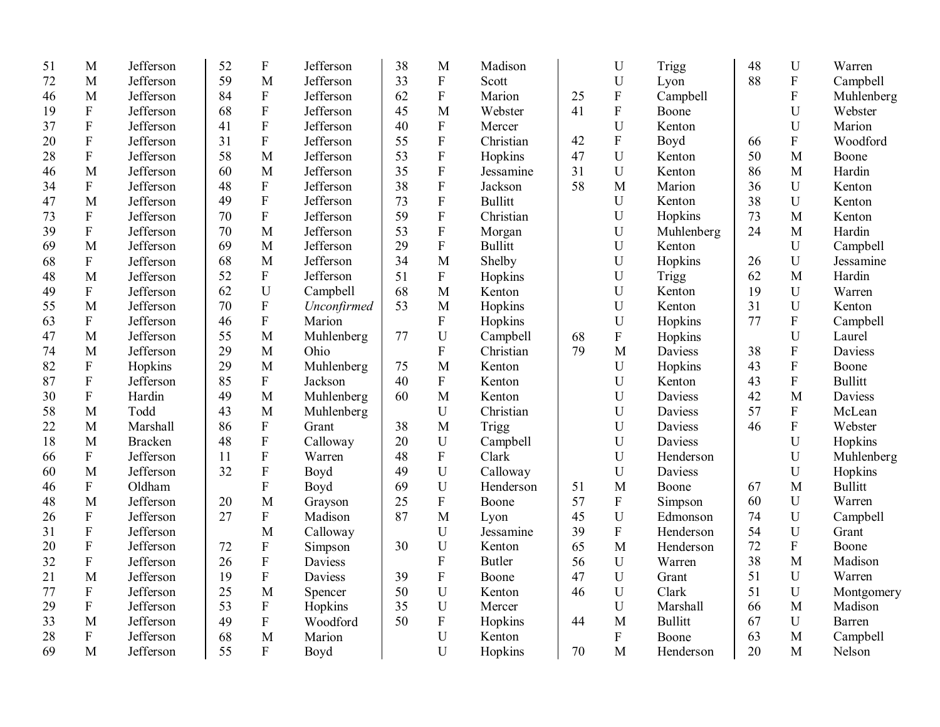| 51 | M                         | Jefferson      | 52 | $\boldsymbol{\mathrm{F}}$ | Jefferson   | 38 | M                         | Madison        |    | $\mathbf U$               | Trigg          | 48 | $\mathbf U$    | Warren         |
|----|---------------------------|----------------|----|---------------------------|-------------|----|---------------------------|----------------|----|---------------------------|----------------|----|----------------|----------------|
| 72 | M                         | Jefferson      | 59 | M                         | Jefferson   | 33 | ${\bf F}$                 | Scott          |    | $\mathbf U$               | Lyon           | 88 | ${\bf F}$      | Campbell       |
| 46 | M                         | Jefferson      | 84 | ${\bf F}$                 | Jefferson   | 62 | ${\bf F}$                 | Marion         | 25 | ${\bf F}$                 | Campbell       |    | $\overline{F}$ | Muhlenberg     |
| 19 | $\boldsymbol{\mathrm{F}}$ | Jefferson      | 68 | $\boldsymbol{\mathrm{F}}$ | Jefferson   | 45 | M                         | Webster        | 41 | ${\bf F}$                 | Boone          |    | $\mathbf U$    | Webster        |
| 37 | $\boldsymbol{\mathrm{F}}$ | Jefferson      | 41 | $\overline{F}$            | Jefferson   | 40 | ${\bf F}$                 | Mercer         |    | $\mathbf U$               | Kenton         |    | $\mathbf U$    | Marion         |
| 20 | ${\bf F}$                 | Jefferson      | 31 | $\overline{F}$            | Jefferson   | 55 | ${\bf F}$                 | Christian      | 42 | ${\bf F}$                 | Boyd           | 66 | ${\bf F}$      | Woodford       |
| 28 | ${\bf F}$                 | Jefferson      | 58 | M                         | Jefferson   | 53 | ${\bf F}$                 | Hopkins        | 47 | $\mathbf U$               | Kenton         | 50 | $\mathbf{M}$   | Boone          |
| 46 | M                         | Jefferson      | 60 | M                         | Jefferson   | 35 | ${\bf F}$                 | Jessamine      | 31 | ${\bf U}$                 | Kenton         | 86 | M              | Hardin         |
| 34 | ${\bf F}$                 | Jefferson      | 48 | ${\bf F}$                 | Jefferson   | 38 | ${\bf F}$                 | Jackson        | 58 | M                         | Marion         | 36 | U              | Kenton         |
| 47 | M                         | Jefferson      | 49 | $\boldsymbol{\mathrm{F}}$ | Jefferson   | 73 | $\boldsymbol{\mathrm{F}}$ | <b>Bullitt</b> |    | U                         | Kenton         | 38 | $\mathbf U$    | Kenton         |
| 73 | $\boldsymbol{\mathrm{F}}$ | Jefferson      | 70 | ${\bf F}$                 | Jefferson   | 59 | $\rm F$                   | Christian      |    | $\mathbf U$               | Hopkins        | 73 | M              | Kenton         |
| 39 | ${\bf F}$                 | Jefferson      | 70 | M                         | Jefferson   | 53 | $\boldsymbol{\mathrm{F}}$ | Morgan         |    | $\mathbf U$               | Muhlenberg     | 24 | M              | Hardin         |
| 69 | M                         | Jefferson      | 69 | M                         | Jefferson   | 29 | ${\bf F}$                 | <b>Bullitt</b> |    | $\mathbf U$               | Kenton         |    | U              | Campbell       |
| 68 | ${\bf F}$                 | Jefferson      | 68 | M                         | Jefferson   | 34 | M                         | Shelby         |    | $\mathbf U$               | Hopkins        | 26 | U              | Jessamine      |
| 48 | M                         | Jefferson      | 52 | ${\bf F}$                 | Jefferson   | 51 | ${\bf F}$                 | Hopkins        |    | $\mathbf U$               | <b>Trigg</b>   | 62 | M              | Hardin         |
| 49 | ${\bf F}$                 | Jefferson      | 62 | $\mathbf U$               | Campbell    | 68 | M                         | Kenton         |    | $\mathbf U$               | Kenton         | 19 | U              | Warren         |
| 55 | M                         | Jefferson      | 70 | ${\bf F}$                 | Unconfirmed | 53 | M                         | Hopkins        |    | $\mathbf U$               | Kenton         | 31 | $\mathbf U$    | Kenton         |
| 63 | ${\bf F}$                 | Jefferson      | 46 | ${\bf F}$                 | Marion      |    | ${\bf F}$                 | Hopkins        |    | $\mathbf U$               | Hopkins        | 77 | ${\bf F}$      | Campbell       |
| 47 | M                         | Jefferson      | 55 | M                         | Muhlenberg  | 77 | $\mathbf U$               | Campbell       | 68 | $\boldsymbol{\mathrm{F}}$ | Hopkins        |    | U              | Laurel         |
| 74 | M                         | Jefferson      | 29 | M                         | Ohio        |    | $\boldsymbol{\mathrm{F}}$ | Christian      | 79 | M                         | <b>Daviess</b> | 38 | ${\bf F}$      | Daviess        |
| 82 | ${\bf F}$                 | Hopkins        | 29 | M                         | Muhlenberg  | 75 | M                         | Kenton         |    | U                         | Hopkins        | 43 | $\overline{F}$ | Boone          |
| 87 | ${\bf F}$                 | Jefferson      | 85 | $\rm F$                   | Jackson     | 40 | ${\bf F}$                 | Kenton         |    | $\mathbf U$               | Kenton         | 43 | ${\bf F}$      | <b>Bullitt</b> |
| 30 | ${\bf F}$                 | Hardin         | 49 | M                         | Muhlenberg  | 60 | M                         | Kenton         |    | $\mathbf U$               | Daviess        | 42 | M              | Daviess        |
| 58 | M                         | Todd           | 43 | M                         | Muhlenberg  |    | U                         | Christian      |    | $\mathbf U$               | Daviess        | 57 | $\mathbf{F}$   | McLean         |
| 22 | M                         | Marshall       | 86 | ${\bf F}$                 | Grant       | 38 | M                         | <b>Trigg</b>   |    | $\mathbf U$               | Daviess        | 46 | $\mathbf{F}$   | Webster        |
| 18 | M                         | <b>Bracken</b> | 48 | ${\bf F}$                 | Calloway    | 20 | $\mathbf U$               | Campbell       |    | U                         | Daviess        |    | U              | Hopkins        |
| 66 | $\mathbf F$               | Jefferson      | 11 | ${\bf F}$                 | Warren      | 48 | ${\bf F}$                 | Clark          |    | U                         | Henderson      |    | $\mathbf U$    | Muhlenberg     |
| 60 | M                         | Jefferson      | 32 | ${\bf F}$                 | Boyd        | 49 | U                         | Calloway       |    | $\mathbf U$               | Daviess        |    | U              | Hopkins        |
| 46 | $\boldsymbol{\mathrm{F}}$ | Oldham         |    | ${\bf F}$                 | Boyd        | 69 | U                         | Henderson      | 51 | M                         | Boone          | 67 | M              | <b>Bullitt</b> |
| 48 | M                         | Jefferson      | 20 | M                         | Grayson     | 25 | $\mathbf F$               | Boone          | 57 | $\boldsymbol{\mathrm{F}}$ | Simpson        | 60 | U              | Warren         |
| 26 | $\mathbf F$               | Jefferson      | 27 | ${\bf F}$                 | Madison     | 87 | M                         | Lyon           | 45 | U                         | Edmonson       | 74 | U              | Campbell       |
| 31 | $\boldsymbol{\mathrm{F}}$ | Jefferson      |    | M                         | Calloway    |    | $\mathbf U$               | Jessamine      | 39 | $\overline{F}$            | Henderson      | 54 | U              | Grant          |
| 20 | ${\bf F}$                 | Jefferson      | 72 | ${\bf F}$                 | Simpson     | 30 | $\mathbf U$               | Kenton         | 65 | M                         | Henderson      | 72 | ${\bf F}$      | Boone          |
| 32 | $\boldsymbol{\mathrm{F}}$ | Jefferson      | 26 | ${\bf F}$                 | Daviess     |    | $\boldsymbol{\mathrm{F}}$ | <b>Butler</b>  | 56 | $\mathbf U$               | Warren         | 38 | M              | Madison        |
| 21 | M                         | Jefferson      | 19 | ${\bf F}$                 | Daviess     | 39 | ${\bf F}$                 | Boone          | 47 | ${\bf U}$                 | Grant          | 51 | $\mathbf U$    | Warren         |
| 77 | ${\bf F}$                 | Jefferson      | 25 | M                         | Spencer     | 50 | U                         | Kenton         | 46 | $\mathbf U$               | Clark          | 51 | U              | Montgomery     |
| 29 | ${\bf F}$                 | Jefferson      | 53 | ${\bf F}$                 | Hopkins     | 35 | U                         | Mercer         |    | $\mathbf U$               | Marshall       | 66 | M              | Madison        |
| 33 | M                         | Jefferson      | 49 | ${\bf F}$                 | Woodford    | 50 | $\boldsymbol{\mathrm{F}}$ | Hopkins        | 44 | M                         | <b>Bullitt</b> | 67 | U              | Barren         |
| 28 | ${\bf F}$                 | Jefferson      | 68 | M                         | Marion      |    | U                         | Kenton         |    | $\boldsymbol{\mathrm{F}}$ | Boone          | 63 | M              | Campbell       |
| 69 | M                         | Jefferson      | 55 | $\mathbf{F}$              | Boyd        |    | U                         | Hopkins        | 70 | M                         | Henderson      | 20 | M              | Nelson         |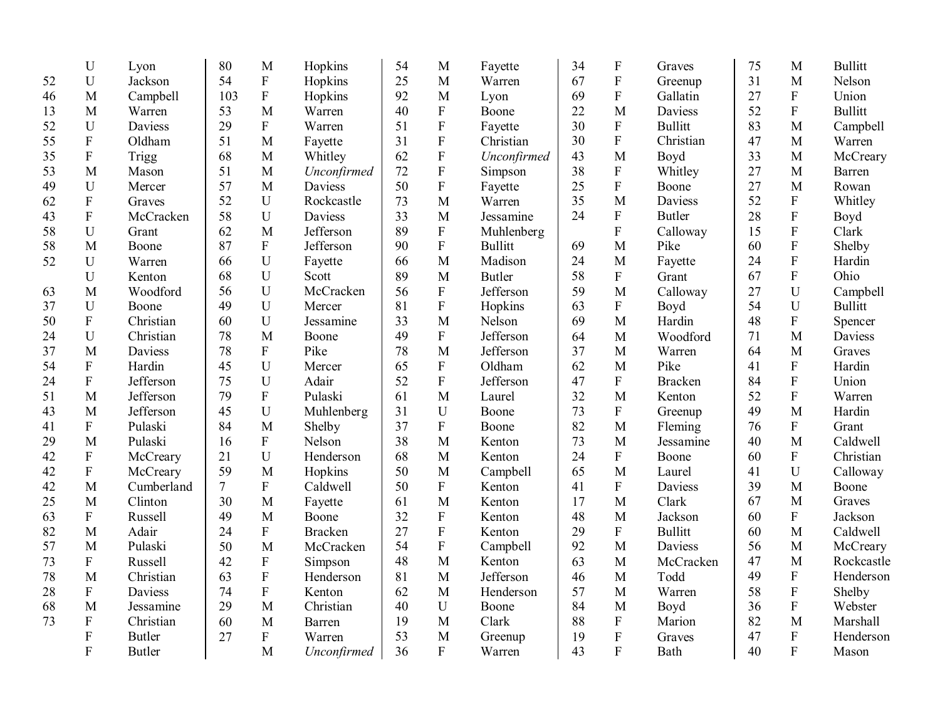|    | $\mathbf U$  | Lyon           | 80              | M                         | Hopkins        | 54 | M                         | Fayette        | 34 | $\boldsymbol{\mathrm{F}}$ | Graves         | 75 | M                         | <b>Bullitt</b> |
|----|--------------|----------------|-----------------|---------------------------|----------------|----|---------------------------|----------------|----|---------------------------|----------------|----|---------------------------|----------------|
| 52 | U            | Jackson        | 54              | ${\bf F}$                 | Hopkins        | 25 | $\mathbf{M}$              | Warren         | 67 | $\boldsymbol{\mathrm{F}}$ | Greenup        | 31 | M                         | Nelson         |
| 46 | M            | Campbell       | 103             | $\boldsymbol{\mathrm{F}}$ | Hopkins        | 92 | M                         | Lyon           | 69 | ${\bf F}$                 | Gallatin       | 27 | ${\bf F}$                 | Union          |
| 13 | M            | Warren         | 53              | M                         | Warren         | 40 | $\mathbf F$               | Boone          | 22 | M                         | Daviess        | 52 | $\mathbf F$               | <b>Bullitt</b> |
| 52 | U            | <b>Daviess</b> | 29              | $\mathbf{F}$              | Warren         | 51 | ${\bf F}$                 | Fayette        | 30 | ${\bf F}$                 | <b>Bullitt</b> | 83 | M                         | Campbell       |
| 55 | ${\bf F}$    | Oldham         | 51              | M                         | Fayette        | 31 | $\boldsymbol{\mathrm{F}}$ | Christian      | 30 | ${\bf F}$                 | Christian      | 47 | M                         | Warren         |
| 35 | ${\bf F}$    | Trigg          | 68              | M                         | Whitley        | 62 | $\overline{F}$            | Unconfirmed    | 43 | M                         | Boyd           | 33 | M                         | McCreary       |
| 53 | M            | Mason          | 51              | M                         | Unconfirmed    | 72 | $\boldsymbol{\mathrm{F}}$ | Simpson        | 38 | ${\bf F}$                 | Whitley        | 27 | M                         | Barren         |
| 49 | U            | Mercer         | 57              | M                         | Daviess        | 50 | ${\bf F}$                 | Fayette        | 25 | ${\bf F}$                 | Boone          | 27 | M                         | Rowan          |
| 62 | $\mathbf{F}$ | Graves         | 52              | $\mathbf U$               | Rockcastle     | 73 | M                         | Warren         | 35 | M                         | <b>Daviess</b> | 52 | ${\bf F}$                 | Whitley        |
| 43 | ${\bf F}$    | McCracken      | 58              | $\mathbf U$               | Daviess        | 33 | M                         | Jessamine      | 24 | ${\bf F}$                 | <b>Butler</b>  | 28 | $\mathbf F$               | Boyd           |
| 58 | U            | Grant          | 62              | M                         | Jefferson      | 89 | $\mathbf{F}$              | Muhlenberg     |    | ${\bf F}$                 | Calloway       | 15 | ${\bf F}$                 | Clark          |
| 58 | M            | Boone          | 87              | $\mathbf{F}$              | Jefferson      | 90 | $\overline{F}$            | <b>Bullitt</b> | 69 | M                         | Pike           | 60 | ${\bf F}$                 | Shelby         |
| 52 | U            | Warren         | 66              | U                         | Fayette        | 66 | M                         | Madison        | 24 | M                         | Fayette        | 24 | ${\bf F}$                 | Hardin         |
|    | U            | Kenton         | 68              | U                         | Scott          | 89 | M                         | <b>Butler</b>  | 58 | ${\bf F}$                 | Grant          | 67 | ${\bf F}$                 | Ohio           |
| 63 | M            | Woodford       | 56              | U                         | McCracken      | 56 | ${\bf F}$                 | Jefferson      | 59 | M                         | Calloway       | 27 | $\mathbf U$               | Campbell       |
| 37 | U            | Boone          | 49              | $\mathbf U$               | Mercer         | 81 | $\mathbf{F}$              | Hopkins        | 63 | ${\bf F}$                 | Boyd           | 54 | U                         | <b>Bullitt</b> |
| 50 | ${\bf F}$    | Christian      | 60              | U                         | Jessamine      | 33 | M                         | Nelson         | 69 | M                         | Hardin         | 48 | ${\bf F}$                 | Spencer        |
| 24 | U            | Christian      | 78              | M                         | Boone          | 49 | $\mathbf{F}$              | Jefferson      | 64 | M                         | Woodford       | 71 | M                         | <b>Daviess</b> |
| 37 | M            | <b>Daviess</b> | 78              | $\boldsymbol{\mathrm{F}}$ | Pike           | 78 | $\mathbf{M}$              | Jefferson      | 37 | M                         | Warren         | 64 | M                         | Graves         |
| 54 | ${\bf F}$    | Hardin         | 45              | $\mathbf U$               | Mercer         | 65 | $\mathbf F$               | Oldham         | 62 | M                         | Pike           | 41 | ${\bf F}$                 | Hardin         |
| 24 | ${\bf F}$    | Jefferson      | 75              | U                         | Adair          | 52 | $\boldsymbol{\mathrm{F}}$ | Jefferson      | 47 | ${\bf F}$                 | <b>Bracken</b> | 84 | ${\bf F}$                 | Union          |
| 51 | M            | Jefferson      | 79              | ${\bf F}$                 | Pulaski        | 61 | M                         | Laurel         | 32 | M                         | Kenton         | 52 | ${\bf F}$                 | Warren         |
| 43 | M            | Jefferson      | 45              | U                         | Muhlenberg     | 31 | U                         | Boone          | 73 | ${\bf F}$                 | Greenup        | 49 | M                         | Hardin         |
| 41 | ${\bf F}$    | Pulaski        | 84              | M                         | Shelby         | 37 | $\mathbf{F}$              | Boone          | 82 | M                         | Fleming        | 76 | ${\bf F}$                 | Grant          |
| 29 | M            | Pulaski        | 16              | ${\bf F}$                 | Nelson         | 38 | M                         | Kenton         | 73 | M                         | Jessamine      | 40 | M                         | Caldwell       |
| 42 | F            | McCreary       | 21              | $\mathbf U$               | Henderson      | 68 | M                         | Kenton         | 24 | $\mathbf{F}$              | Boone          | 60 | F                         | Christian      |
| 42 | $\mathbf F$  | McCreary       | 59              | M                         | Hopkins        | 50 | $\mathbf{M}$              | Campbell       | 65 | M                         | Laurel         | 41 | $\mathbf U$               | Calloway       |
| 42 | M            | Cumberland     | $7\overline{ }$ | ${\bf F}$                 | Caldwell       | 50 | $\mathbf F$               | Kenton         | 41 | ${\bf F}$                 | Daviess        | 39 | M                         | Boone          |
| 25 | M            | Clinton        | 30              | $\mathbf{M}$              | Fayette        | 61 | M                         | Kenton         | 17 | M                         | Clark          | 67 | M                         | Graves         |
| 63 | ${\bf F}$    | Russell        | 49              | M                         | Boone          | 32 | ${\bf F}$                 | Kenton         | 48 | M                         | Jackson        | 60 | ${\bf F}$                 | Jackson        |
| 82 | M            | Adair          | 24              | $\mathbf{F}$              | <b>Bracken</b> | 27 | $\overline{F}$            | Kenton         | 29 | $\boldsymbol{\mathrm{F}}$ | <b>Bullitt</b> | 60 | M                         | Caldwell       |
| 57 | M            | Pulaski        | 50              | M                         | McCracken      | 54 | $\mathbf{F}$              | Campbell       | 92 | M                         | Daviess        | 56 | M                         | McCreary       |
| 73 | F            | Russell        | 42              | ${\bf F}$                 | Simpson        | 48 | $\mathbf{M}$              | Kenton         | 63 | M                         | McCracken      | 47 | M                         | Rockcastle     |
| 78 | M            | Christian      | 63              | $\mathbf F$               | Henderson      | 81 | $\mathbf{M}$              | Jefferson      | 46 | M                         | Todd           | 49 | ${\bf F}$                 | Henderson      |
| 28 | ${\bf F}$    | <b>Daviess</b> | 74              | ${\bf F}$                 | Kenton         | 62 | $\mathbf{M}$              | Henderson      | 57 | M                         | Warren         | 58 | $\boldsymbol{\mathrm{F}}$ | Shelby         |
| 68 | M            | Jessamine      | 29              | $\mathbf{M}$              | Christian      | 40 | $\mathbf U$               | Boone          | 84 | M                         | Boyd           | 36 | ${\bf F}$                 | Webster        |
| 73 | F            | Christian      | 60              | M                         | Barren         | 19 | M                         | Clark          | 88 | ${\bf F}$                 | Marion         | 82 | M                         | Marshall       |
|    | ${\bf F}$    | <b>Butler</b>  | 27              | $\mathbf F$               | Warren         | 53 | $\mathbf{M}$              | Greenup        | 19 | $\boldsymbol{\mathrm{F}}$ | Graves         | 47 | ${\bf F}$                 | Henderson      |
|    | $\mathbf{F}$ | <b>Butler</b>  |                 | M                         | Unconfirmed    | 36 | $\mathbf{F}$              | Warren         | 43 | $\overline{F}$            | Bath           | 40 | $\mathbf F$               | Mason          |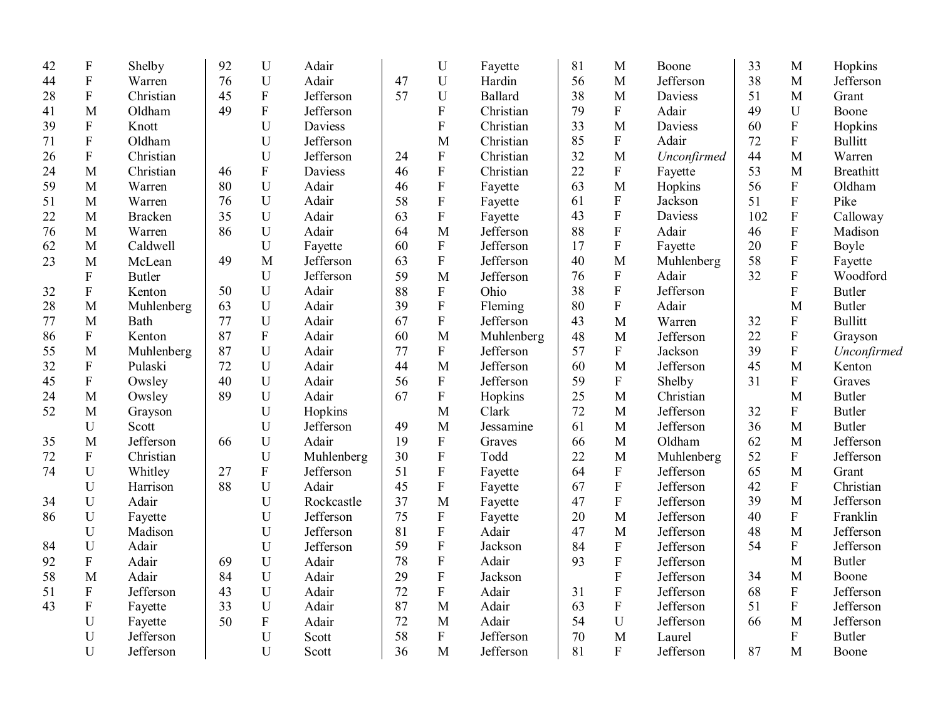| 42 | ${\bf F}$                 | Shelby         | 92 | U              | Adair      |    | $\mathbf U$               | Fayette    | 81 | M                         | Boone       | 33  | M                         | Hopkins          |
|----|---------------------------|----------------|----|----------------|------------|----|---------------------------|------------|----|---------------------------|-------------|-----|---------------------------|------------------|
| 44 | ${\bf F}$                 | Warren         | 76 | U              | Adair      | 47 | U                         | Hardin     | 56 | M                         | Jefferson   | 38  | M                         | Jefferson        |
| 28 | ${\bf F}$                 | Christian      | 45 | ${\bf F}$      | Jefferson  | 57 | U                         | Ballard    | 38 | M                         | Daviess     | 51  | M                         | Grant            |
| 41 | M                         | Oldham         | 49 | ${\bf F}$      | Jefferson  |    | F                         | Christian  | 79 | $\boldsymbol{\mathrm{F}}$ | Adair       | 49  | $\mathbf U$               | Boone            |
| 39 | ${\bf F}$                 | Knott          |    | $\mathbf U$    | Daviess    |    | ${\bf F}$                 | Christian  | 33 | M                         | Daviess     | 60  | ${\bf F}$                 | Hopkins          |
| 71 | $\mathbf{F}$              | Oldham         |    | U              | Jefferson  |    | M                         | Christian  | 85 | ${\bf F}$                 | Adair       | 72  | $\mathbf{F}$              | <b>Bullitt</b>   |
| 26 | $\mathbf F$               | Christian      |    | U              | Jefferson  | 24 | ${\bf F}$                 | Christian  | 32 | M                         | Unconfirmed | 44  | $\overline{M}$            | Warren           |
| 24 | M                         | Christian      | 46 | ${\bf F}$      | Daviess    | 46 | ${\bf F}$                 | Christian  | 22 | $\mathbf F$               | Fayette     | 53  | M                         | <b>Breathitt</b> |
| 59 | M                         | Warren         | 80 | ${\bf U}$      | Adair      | 46 | ${\bf F}$                 | Fayette    | 63 | M                         | Hopkins     | 56  | $\mathbf F$               | Oldham           |
| 51 | M                         | Warren         | 76 | U              | Adair      | 58 | ${\bf F}$                 | Fayette    | 61 | ${\bf F}$                 | Jackson     | 51  | ${\bf F}$                 | Pike             |
| 22 | M                         | <b>Bracken</b> | 35 | $\mathbf U$    | Adair      | 63 | $\boldsymbol{\mathrm{F}}$ | Fayette    | 43 | $\rm F$                   | Daviess     | 102 | ${\bf F}$                 | Calloway         |
| 76 | M                         | Warren         | 86 | U              | Adair      | 64 | M                         | Jefferson  | 88 | ${\bf F}$                 | Adair       | 46  | $\overline{F}$            | Madison          |
| 62 | M                         | Caldwell       |    | U              | Fayette    | 60 | $\boldsymbol{\mathrm{F}}$ | Jefferson  | 17 | ${\bf F}$                 | Fayette     | 20  | ${\bf F}$                 | Boyle            |
| 23 | M                         | McLean         | 49 | $\mathbf{M}$   | Jefferson  | 63 | $\boldsymbol{\mathrm{F}}$ | Jefferson  | 40 | M                         | Muhlenberg  | 58  | ${\bf F}$                 | Fayette          |
|    | $\boldsymbol{\mathrm{F}}$ | <b>Butler</b>  |    | U              | Jefferson  | 59 | M                         | Jefferson  | 76 | ${\bf F}$                 | Adair       | 32  | ${\bf F}$                 | Woodford         |
| 32 | ${\bf F}$                 | Kenton         | 50 | U              | Adair      | 88 | ${\bf F}$                 | Ohio       | 38 | $\rm F$                   | Jefferson   |     | ${\bf F}$                 | <b>Butler</b>    |
| 28 | M                         | Muhlenberg     | 63 | U              | Adair      | 39 | $\boldsymbol{\mathrm{F}}$ | Fleming    | 80 | ${\bf F}$                 | Adair       |     | M                         | <b>Butler</b>    |
| 77 | M                         | Bath           | 77 | $\mathbf U$    | Adair      | 67 | $\boldsymbol{\mathrm{F}}$ | Jefferson  | 43 | M                         | Warren      | 32  | ${\bf F}$                 | <b>Bullitt</b>   |
| 86 | F                         | Kenton         | 87 | ${\bf F}$      | Adair      | 60 | M                         | Muhlenberg | 48 | M                         | Jefferson   | 22  | $\overline{F}$            | Grayson          |
| 55 | M                         | Muhlenberg     | 87 | U              | Adair      | 77 | $\boldsymbol{\mathrm{F}}$ | Jefferson  | 57 | $\mathbf F$               | Jackson     | 39  | $\rm F$                   | Unconfirmed      |
| 32 | $\mathbf F$               | Pulaski        | 72 | U              | Adair      | 44 | M                         | Jefferson  | 60 | M                         | Jefferson   | 45  | $\mathbf{M}$              | Kenton           |
| 45 | $\mathbf F$               | Owsley         | 40 | U              | Adair      | 56 | ${\bf F}$                 | Jefferson  | 59 | $\mathbf F$               | Shelby      | 31  | ${\bf F}$                 | Graves           |
| 24 | M                         | Owsley         | 89 | U              | Adair      | 67 | ${\bf F}$                 | Hopkins    | 25 | M                         | Christian   |     | M                         | <b>Butler</b>    |
| 52 | M                         | Grayson        |    | U              | Hopkins    |    | M                         | Clark      | 72 | $\mathbf M$               | Jefferson   | 32  | ${\bf F}$                 | <b>Butler</b>    |
|    | U                         | Scott          |    | $\mathbf U$    | Jefferson  | 49 | M                         | Jessamine  | 61 | M                         | Jefferson   | 36  | M                         | <b>Butler</b>    |
| 35 | M                         | Jefferson      | 66 | U              | Adair      | 19 | ${\bf F}$                 | Graves     | 66 | M                         | Oldham      | 62  | M                         | Jefferson        |
| 72 | $\mathbf{F}$              | Christian      |    | U              | Muhlenberg | 30 | $\boldsymbol{\mathrm{F}}$ | Todd       | 22 | M                         | Muhlenberg  | 52  | $\mathbf F$               | Jefferson        |
| 74 | U                         | Whitley        | 27 | $\overline{F}$ | Jefferson  | 51 | ${\bf F}$                 | Fayette    | 64 | $\mathbf F$               | Jefferson   | 65  | $\mathbf{M}$              | Grant            |
|    | $\mathbf U$               | Harrison       | 88 | U              | Adair      | 45 | $\mathbf F$               | Fayette    | 67 | $\overline{\mathrm{F}}$   | Jefferson   | 42  | $\boldsymbol{\mathrm{F}}$ | Christian        |
| 34 | $\mathbf U$               | Adair          |    | U              | Rockcastle | 37 | M                         | Fayette    | 47 | $\mathbf F$               | Jefferson   | 39  | M                         | Jefferson        |
| 86 | U                         | Fayette        |    | $\mathbf U$    | Jefferson  | 75 | ${\bf F}$                 | Fayette    | 20 | M                         | Jefferson   | 40  | $\boldsymbol{\mathrm{F}}$ | Franklin         |
|    | U                         | Madison        |    | U              | Jefferson  | 81 | $\mathbf F$               | Adair      | 47 | M                         | Jefferson   | 48  | M                         | Jefferson        |
| 84 | $\mathbf U$               | Adair          |    | $\mathbf U$    | Jefferson  | 59 | ${\bf F}$                 | Jackson    | 84 | $\rm F$                   | Jefferson   | 54  | $\mathbf F$               | Jefferson        |
| 92 | ${\bf F}$                 | Adair          | 69 | $\mathbf U$    | Adair      | 78 | ${\bf F}$                 | Adair      | 93 | $\rm F$                   | Jefferson   |     | M                         | <b>Butler</b>    |
| 58 | M                         | Adair          | 84 | U              | Adair      | 29 | $\mathbf F$               | Jackson    |    | ${\bf F}$                 | Jefferson   | 34  | M                         | Boone            |
| 51 | ${\bf F}$                 | Jefferson      | 43 | U              | Adair      | 72 | ${\bf F}$                 | Adair      | 31 | ${\bf F}$                 | Jefferson   | 68  | $\mathbf F$               | Jefferson        |
| 43 | ${\bf F}$                 | Fayette        | 33 | $\mathbf U$    | Adair      | 87 | M                         | Adair      | 63 | ${\bf F}$                 | Jefferson   | 51  | $\boldsymbol{\mathrm{F}}$ | Jefferson        |
|    | $\mathbf U$               | Fayette        | 50 | ${\bf F}$      | Adair      | 72 | M                         | Adair      | 54 | U                         | Jefferson   | 66  | M                         | Jefferson        |
|    | U                         | Jefferson      |    | U              | Scott      | 58 | F                         | Jefferson  | 70 | $\mathbf{M}$              | Laurel      |     | $\mathbf{F}$              | <b>Butler</b>    |
|    | U                         | Jefferson      |    | U              | Scott      | 36 | $\mathbf{M}$              | Jefferson  | 81 | ${\bf F}$                 | Jefferson   | 87  | M                         | Boone            |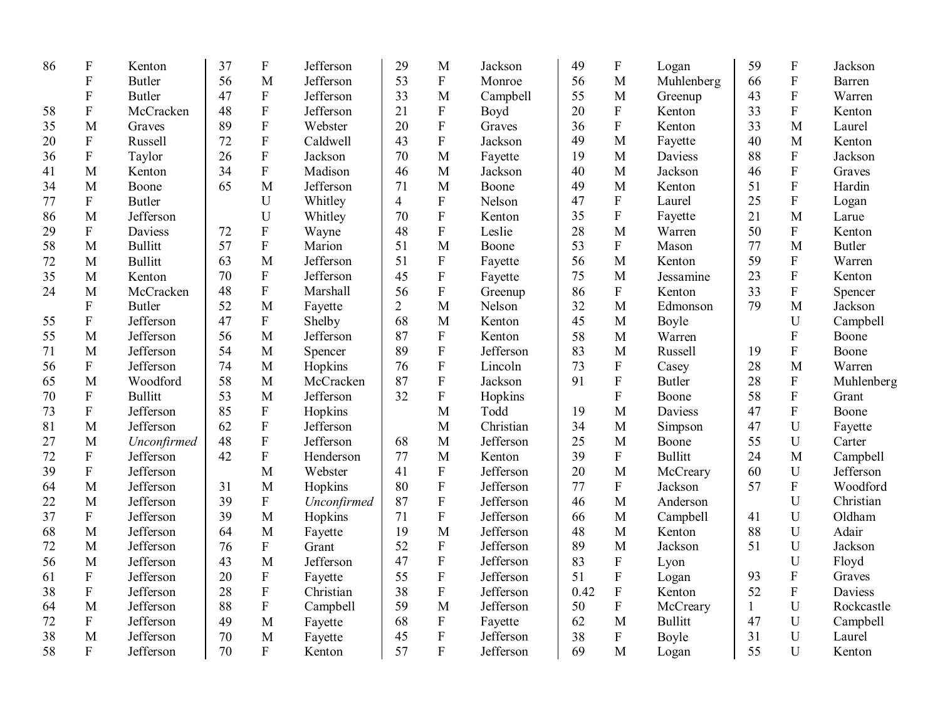| 86 | F                         | Kenton         | 37 | ${\bf F}$                 | Jefferson   | 29             | M                         | Jackson   | 49   | ${\bf F}$      | Logan          | 59           | $\boldsymbol{\mathrm{F}}$ | Jackson       |
|----|---------------------------|----------------|----|---------------------------|-------------|----------------|---------------------------|-----------|------|----------------|----------------|--------------|---------------------------|---------------|
|    | ${\bf F}$                 | <b>Butler</b>  | 56 | M                         | Jefferson   | 53             | $\boldsymbol{\mathrm{F}}$ | Monroe    | 56   | M              | Muhlenberg     | 66           | ${\bf F}$                 | Barren        |
|    | $\mathbf{F}$              | <b>Butler</b>  | 47 | ${\bf F}$                 | Jefferson   | 33             | M                         | Campbell  | 55   | M              | Greenup        | 43           | ${\bf F}$                 | Warren        |
| 58 | $\boldsymbol{\mathrm{F}}$ | McCracken      | 48 | $\overline{F}$            | Jefferson   | 21             | F                         | Boyd      | 20   | ${\bf F}$      | Kenton         | 33           | ${\bf F}$                 | Kenton        |
| 35 | M                         | Graves         | 89 | $\boldsymbol{\mathrm{F}}$ | Webster     | 20             | $\overline{\mathrm{F}}$   | Graves    | 36   | $\mathbf F$    | Kenton         | 33           | $\mathbf{M}$              | Laurel        |
| 20 | $\boldsymbol{\mathrm{F}}$ | Russell        | 72 | $\rm F$                   | Caldwell    | 43             | ${\bf F}$                 | Jackson   | 49   | M              | Fayette        | 40           | $\mathbf{M}$              | Kenton        |
| 36 | ${\bf F}$                 | Taylor         | 26 | $\boldsymbol{\mathrm{F}}$ | Jackson     | 70             | M                         | Fayette   | 19   | $\mathbf M$    | Daviess        | 88           | ${\bf F}$                 | Jackson       |
| 41 | M                         | Kenton         | 34 | $\overline{F}$            | Madison     | 46             | M                         | Jackson   | 40   | M              | Jackson        | 46           | $\boldsymbol{\mathrm{F}}$ | Graves        |
| 34 | M                         | Boone          | 65 | M                         | Jefferson   | 71             | $\overline{M}$            | Boone     | 49   | M              | Kenton         | 51           | $\rm F$                   | Hardin        |
| 77 | $\boldsymbol{\mathrm{F}}$ | <b>Butler</b>  |    | U                         | Whitley     | 4              | $\boldsymbol{\mathrm{F}}$ | Nelson    | 47   | ${\bf F}$      | Laurel         | 25           | ${\bf F}$                 | Logan         |
| 86 | M                         | Jefferson      |    | U                         | Whitley     | 70             | $\mathbf F$               | Kenton    | 35   | ${\bf F}$      | Fayette        | 21           | M                         | Larue         |
| 29 | $\mathbf F$               | Daviess        | 72 | ${\bf F}$                 | Wayne       | 48             | ${\bf F}$                 | Leslie    | 28   | M              | Warren         | 50           | $\boldsymbol{\mathrm{F}}$ | Kenton        |
| 58 | M                         | <b>Bullitt</b> | 57 | $\mathbf F$               | Marion      | 51             | M                         | Boone     | 53   | ${\bf F}$      | Mason          | 77           | M                         | <b>Butler</b> |
| 72 | M                         | <b>Bullitt</b> | 63 | M                         | Jefferson   | 51             | $\boldsymbol{\mathrm{F}}$ | Fayette   | 56   | M              | Kenton         | 59           | ${\bf F}$                 | Warren        |
| 35 | M                         | Kenton         | 70 | ${\bf F}$                 | Jefferson   | 45             | ${\bf F}$                 | Fayette   | 75   | M              | Jessamine      | 23           | ${\bf F}$                 | Kenton        |
| 24 | M                         | McCracken      | 48 | $\rm F$                   | Marshall    | 56             | $\mathbf F$               | Greenup   | 86   | ${\bf F}$      | Kenton         | 33           | ${\bf F}$                 | Spencer       |
|    | $\boldsymbol{F}$          | <b>Butler</b>  | 52 | M                         | Fayette     | $\overline{2}$ | M                         | Nelson    | 32   | M              | Edmonson       | 79           | M                         | Jackson       |
| 55 | $\mathbf{F}$              | Jefferson      | 47 | ${\bf F}$                 | Shelby      | 68             | M                         | Kenton    | 45   | M              | Boyle          |              | $\mathbf U$               | Campbell      |
| 55 | M                         | Jefferson      | 56 | M                         | Jefferson   | 87             | $\boldsymbol{\mathrm{F}}$ | Kenton    | 58   | M              | Warren         |              | $\overline{F}$            | Boone         |
| 71 | M                         | Jefferson      | 54 | M                         | Spencer     | 89             | $\overline{\mathrm{F}}$   | Jefferson | 83   | M              | Russell        | 19           | F                         | Boone         |
| 56 | $\boldsymbol{F}$          | Jefferson      | 74 | M                         | Hopkins     | 76             | ${\bf F}$                 | Lincoln   | 73   | ${\bf F}$      | Casey          | 28           | M                         | Warren        |
| 65 | M                         | Woodford       | 58 | M                         | McCracken   | 87             | $\mathbf F$               | Jackson   | 91   | $\rm F$        | <b>Butler</b>  | 28           | ${\bf F}$                 | Muhlenberg    |
| 70 | $\boldsymbol{F}$          | <b>Bullitt</b> | 53 | M                         | Jefferson   | 32             | ${\bf F}$                 | Hopkins   |      | ${\bf F}$      | Boone          | 58           | ${\bf F}$                 | Grant         |
| 73 | $\boldsymbol{\mathrm{F}}$ | Jefferson      | 85 | ${\bf F}$                 | Hopkins     |                | M                         | Todd      | 19   | $\mathbf M$    | Daviess        | 47           | ${\bf F}$                 | Boone         |
| 81 | M                         | Jefferson      | 62 | $\rm F$                   | Jefferson   |                | M                         | Christian | 34   | M              | Simpson        | 47           | $\mathbf U$               | Fayette       |
| 27 | M                         | Unconfirmed    | 48 | ${\bf F}$                 | Jefferson   | 68             | M                         | Jefferson | 25   | M              | Boone          | 55           | U                         | Carter        |
| 72 | ${\bf F}$                 | Jefferson      | 42 | ${\bf F}$                 | Henderson   | 77             | M                         | Kenton    | 39   | ${\bf F}$      | <b>Bullitt</b> | 24           | M                         | Campbell      |
| 39 | $\mathbf F$               | Jefferson      |    | M                         | Webster     | 41             | ${\bf F}$                 | Jefferson | 20   | M              | McCreary       | 60           | $\mathbf U$               | Jefferson     |
| 64 | M                         | Jefferson      | 31 | M                         | Hopkins     | 80             | ${\bf F}$                 | Jefferson | 77   | ${\bf F}$      | Jackson        | 57           | $\mathbf F$               | Woodford      |
| 22 | M                         | Jefferson      | 39 | $\rm F$                   | Unconfirmed | 87             | $\overline{\mathrm{F}}$   | Jefferson | 46   | M              | Anderson       |              | U                         | Christian     |
| 37 | $\mathbf F$               | Jefferson      | 39 | M                         | Hopkins     | 71             | $\rm F$                   | Jefferson | 66   | M              | Campbell       | 41           | U                         | Oldham        |
| 68 | M                         | Jefferson      | 64 | M                         | Fayette     | 19             | M                         | Jefferson | 48   | M              | Kenton         | 88           | U                         | Adair         |
| 72 | M                         | Jefferson      | 76 | $\rm F$                   | Grant       | 52             | ${\bf F}$                 | Jefferson | 89   | M              | Jackson        | 51           | U                         | Jackson       |
| 56 | M                         | Jefferson      | 43 | M                         | Jefferson   | 47             | $\overline{F}$            | Jefferson | 83   | ${\bf F}$      | Lyon           |              | U                         | Floyd         |
| 61 | $\boldsymbol{\mathrm{F}}$ | Jefferson      | 20 | ${\bf F}$                 | Fayette     | 55             | ${\bf F}$                 | Jefferson | 51   | ${\bf F}$      | Logan          | 93           | ${\bf F}$                 | Graves        |
| 38 | $\boldsymbol{\mathrm{F}}$ | Jefferson      | 28 | $\overline{F}$            | Christian   | 38             | $\overline{F}$            | Jefferson | 0.42 | $\rm F$        | Kenton         | 52           | $\overline{F}$            | Daviess       |
| 64 | M                         | Jefferson      | 88 | $\rm F$                   | Campbell    | 59             | M                         | Jefferson | 50   | $\overline{F}$ | McCreary       | $\mathbf{1}$ | U                         | Rockcastle    |
| 72 | ${\bf F}$                 | Jefferson      | 49 | M                         | Fayette     | 68             | ${\bf F}$                 | Fayette   | 62   | M              | <b>Bullitt</b> | 47           | U                         | Campbell      |
| 38 | M                         | Jefferson      | 70 | M                         | Fayette     | 45             | ${\bf F}$                 | Jefferson | 38   | ${\bf F}$      | Boyle          | 31           | U                         | Laurel        |
| 58 | F                         | Jefferson      | 70 | F                         | Kenton      | 57             | $\overline{F}$            | Jefferson | 69   | M              | Logan          | 55           | $\mathbf U$               | Kenton        |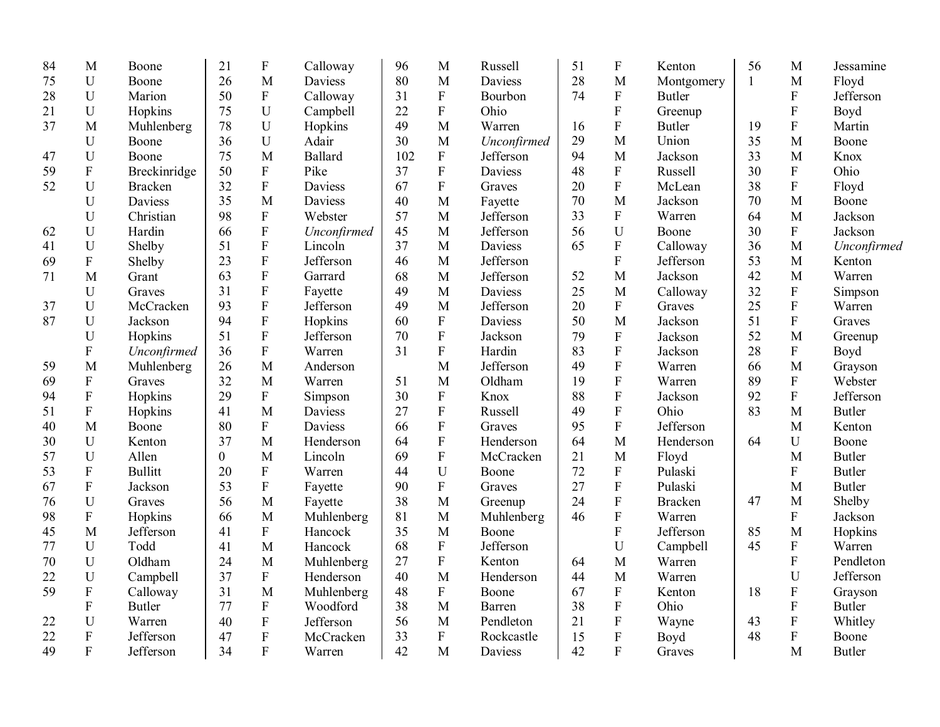| 84 | M                         | Boone          | 21       | ${\bf F}$                 | Calloway    | 96  | M           | Russell        | 51 | ${\bf F}$                 | Kenton         | 56           | M                         | Jessamine     |
|----|---------------------------|----------------|----------|---------------------------|-------------|-----|-------------|----------------|----|---------------------------|----------------|--------------|---------------------------|---------------|
| 75 | U                         | Boone          | 26       | M                         | Daviess     | 80  | M           | <b>Daviess</b> | 28 | M                         | Montgomery     | $\mathbf{1}$ | M                         | Floyd         |
| 28 | $\mathbf U$               | Marion         | 50       | ${\bf F}$                 | Calloway    | 31  | ${\bf F}$   | Bourbon        | 74 | ${\bf F}$                 | Butler         |              | $\boldsymbol{\mathrm{F}}$ | Jefferson     |
| 21 | U                         | Hopkins        | 75       | $\mathbf U$               | Campbell    | 22  | ${\bf F}$   | Ohio           |    | $\mathbf{F}$              | Greenup        |              | $\mathbf F$               | Boyd          |
| 37 | M                         | Muhlenberg     | 78       | $\mathbf U$               | Hopkins     | 49  | M           | Warren         | 16 | $\mathbf F$               | <b>Butler</b>  | 19           | ${\bf F}$                 | Martin        |
|    | $\mathbf U$               | Boone          | 36       | $\mathbf U$               | Adair       | 30  | M           | Unconfirmed    | 29 | M                         | Union          | 35           | M                         | Boone         |
| 47 | $\mathbf U$               | Boone          | 75       | $\mathbf{M}$              | Ballard     | 102 | ${\bf F}$   | Jefferson      | 94 | $\mathbf{M}$              | Jackson        | 33           | M                         | Knox          |
| 59 | ${\bf F}$                 | Breckinridge   | 50       | ${\bf F}$                 | Pike        | 37  | ${\bf F}$   | <b>Daviess</b> | 48 | $\mathbf F$               | Russell        | 30           | ${\bf F}$                 | Ohio          |
| 52 | U                         | <b>Bracken</b> | 32       | ${\bf F}$                 | Daviess     | 67  | ${\bf F}$   | Graves         | 20 | ${\bf F}$                 | McLean         | 38           | ${\bf F}$                 | Floyd         |
|    | U                         | Daviess        | 35       | M                         | Daviess     | 40  | M           | Fayette        | 70 | M                         | Jackson        | 70           | M                         | Boone         |
|    | U                         | Christian      | 98       | ${\bf F}$                 | Webster     | 57  | M           | Jefferson      | 33 | ${\bf F}$                 | Warren         | 64           | M                         | Jackson       |
| 62 | U                         | Hardin         | 66       | ${\bf F}$                 | Unconfirmed | 45  | M           | Jefferson      | 56 | U                         | Boone          | 30           | $\boldsymbol{\mathrm{F}}$ | Jackson       |
| 41 | U                         | Shelby         | 51       | $\boldsymbol{\mathrm{F}}$ | Lincoln     | 37  | M           | <b>Daviess</b> | 65 | $\mathbf F$               | Calloway       | 36           | M                         | Unconfirmed   |
| 69 | ${\bf F}$                 | Shelby         | 23       | $\boldsymbol{\mathrm{F}}$ | Jefferson   | 46  | M           | Jefferson      |    | ${\bf F}$                 | Jefferson      | 53           | M                         | Kenton        |
| 71 | M                         | Grant          | 63       | ${\bf F}$                 | Garrard     | 68  | M           | Jefferson      | 52 | M                         | Jackson        | 42           | M                         | Warren        |
|    | U                         | Graves         | 31       | $\mathbf F$               | Fayette     | 49  | M           | Daviess        | 25 | M                         | Calloway       | 32           | ${\bf F}$                 | Simpson       |
| 37 | $\mathbf U$               | McCracken      | 93       | ${\bf F}$                 | Jefferson   | 49  | M           | Jefferson      | 20 | ${\bf F}$                 | Graves         | 25           | $\boldsymbol{\mathrm{F}}$ | Warren        |
| 87 | U                         | Jackson        | 94       | ${\bf F}$                 | Hopkins     | 60  | ${\bf F}$   | Daviess        | 50 | M                         | Jackson        | 51           | ${\bf F}$                 | Graves        |
|    | U                         | Hopkins        | 51       | ${\bf F}$                 | Jefferson   | 70  | ${\bf F}$   | Jackson        | 79 | ${\bf F}$                 | Jackson        | 52           | M                         | Greenup       |
|    | $\boldsymbol{\mathrm{F}}$ | Unconfirmed    | 36       | $\rm F$                   | Warren      | 31  | ${\bf F}$   | Hardin         | 83 | $\rm F$                   | Jackson        | 28           | ${\bf F}$                 | Boyd          |
| 59 | M                         | Muhlenberg     | 26       | $\mathbf{M}$              | Anderson    |     | M           | Jefferson      | 49 | ${\bf F}$                 | Warren         | 66           | M                         | Grayson       |
| 69 | ${\bf F}$                 | Graves         | 32       | M                         | Warren      | 51  | M           | Oldham         | 19 | $\rm F$                   | Warren         | 89           | $\mathbf F$               | Webster       |
| 94 | ${\bf F}$                 | Hopkins        | 29       | ${\bf F}$                 | Simpson     | 30  | ${\bf F}$   | Knox           | 88 | ${\bf F}$                 | Jackson        | 92           | ${\bf F}$                 | Jefferson     |
| 51 | ${\bf F}$                 | Hopkins        | 41       | M                         | Daviess     | 27  | ${\bf F}$   | Russell        | 49 | ${\bf F}$                 | Ohio           | 83           | M                         | <b>Butler</b> |
| 40 | M                         | Boone          | 80       | ${\bf F}$                 | Daviess     | 66  | ${\bf F}$   | Graves         | 95 | ${\bf F}$                 | Jefferson      |              | M                         | Kenton        |
| 30 | U                         | Kenton         | 37       | M                         | Henderson   | 64  | ${\bf F}$   | Henderson      | 64 | M                         | Henderson      | 64           | U                         | Boone         |
| 57 | $\mathbf U$               | Allen          | $\Omega$ | M                         | Lincoln     | 69  | $\rm F$     | McCracken      | 21 | M                         | Floyd          |              | $\mathbf{M}$              | <b>Butler</b> |
| 53 | $\boldsymbol{\mathrm{F}}$ | <b>Bullitt</b> | 20       | ${\bf F}$                 | Warren      | 44  | $\mathbf U$ | Boone          | 72 | ${\bf F}$                 | Pulaski        |              | $\mathbf{F}$              | <b>Butler</b> |
| 67 | $\boldsymbol{\mathrm{F}}$ | Jackson        | 53       | $\boldsymbol{\mathrm{F}}$ | Fayette     | 90  | $\rm F$     | Graves         | 27 | $\rm F$                   | Pulaski        |              | M                         | <b>Butler</b> |
| 76 | U                         | Graves         | 56       | M                         | Fayette     | 38  | M           | Greenup        | 24 | ${\bf F}$                 | <b>Bracken</b> | 47           | M                         | Shelby        |
| 98 | ${\bf F}$                 | Hopkins        | 66       | M                         | Muhlenberg  | 81  | M           | Muhlenberg     | 46 | $\boldsymbol{\mathrm{F}}$ | Warren         |              | ${\bf F}$                 | Jackson       |
| 45 | M                         | Jefferson      | 41       | ${\bf F}$                 | Hancock     | 35  | M           | Boone          |    | ${\bf F}$                 | Jefferson      | 85           | M                         | Hopkins       |
| 77 | U                         | Todd           | 41       | M                         | Hancock     | 68  | ${\bf F}$   | Jefferson      |    | U                         | Campbell       | 45           | ${\bf F}$                 | Warren        |
| 70 | $\mathbf U$               | Oldham         | 24       | $\mathbf{M}$              | Muhlenberg  | 27  | $\rm F$     | Kenton         | 64 | M                         | Warren         |              | ${\bf F}$                 | Pendleton     |
| 22 | $\mathbf U$               | Campbell       | 37       | $\boldsymbol{\mathrm{F}}$ | Henderson   | 40  | M           | Henderson      | 44 | M                         | Warren         |              | $\mathbf U$               | Jefferson     |
| 59 | ${\bf F}$                 | Calloway       | 31       | M                         | Muhlenberg  | 48  | $\mathbf F$ | Boone          | 67 | ${\bf F}$                 | Kenton         | 18           | $\mathbf F$               | Grayson       |
|    | ${\bf F}$                 | <b>Butler</b>  | 77       | ${\bf F}$                 | Woodford    | 38  | M           | Barren         | 38 | $\boldsymbol{\mathrm{F}}$ | Ohio           |              | ${\bf F}$                 | <b>Butler</b> |
| 22 | $\mathbf U$               | Warren         | 40       | $\boldsymbol{\mathrm{F}}$ | Jefferson   | 56  | M           | Pendleton      | 21 | $\rm F$                   | Wayne          | 43           | ${\bf F}$                 | Whitley       |
| 22 | $\boldsymbol{\mathrm{F}}$ | Jefferson      | 47       | $\boldsymbol{\mathrm{F}}$ | McCracken   | 33  | ${\bf F}$   | Rockcastle     | 15 | $\rm F$                   | Boyd           | 48           | ${\bf F}$                 | Boone         |
| 49 | ${\bf F}$                 | Jefferson      | 34       | $\overline{F}$            | Warren      | 42  | M           | Daviess        | 42 | $\rm F$                   | Graves         |              | M                         | <b>Butler</b> |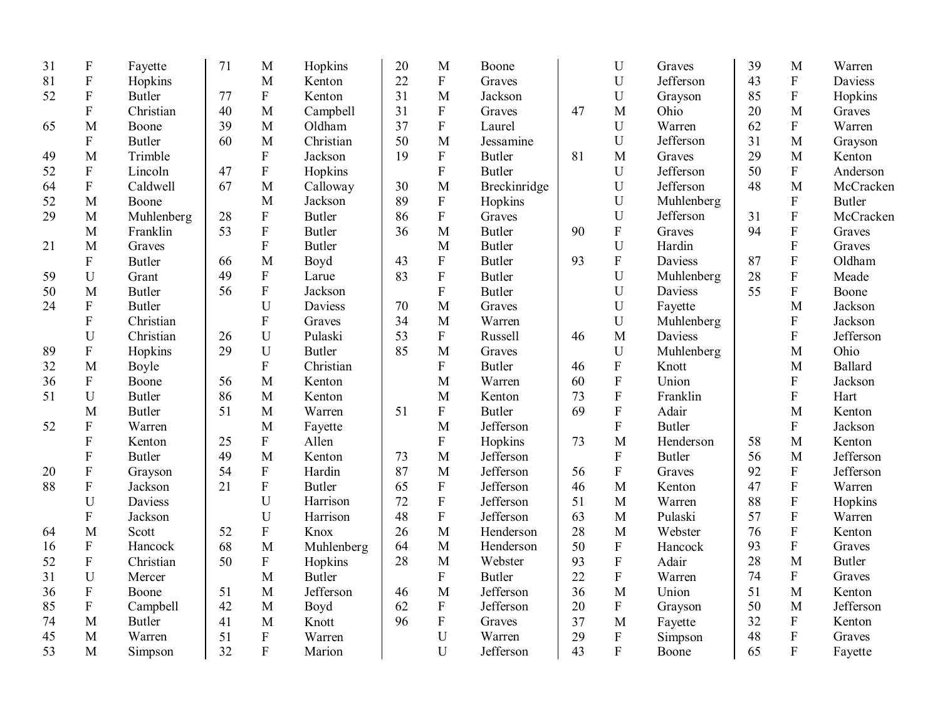| 31 | ${\bf F}$                 | Fayette       | 71 | M                         | Hopkins       | 20 | M                         | Boone         |    | $\mathbf U$               | Graves         | 39 | M                         | Warren        |
|----|---------------------------|---------------|----|---------------------------|---------------|----|---------------------------|---------------|----|---------------------------|----------------|----|---------------------------|---------------|
| 81 | ${\bf F}$                 | Hopkins       |    | M                         | Kenton        | 22 | $\mathbf F$               | Graves        |    | U                         | Jefferson      | 43 | ${\bf F}$                 | Daviess       |
| 52 | ${\bf F}$                 | <b>Butler</b> | 77 | ${\bf F}$                 | Kenton        | 31 | M                         | Jackson       |    | U                         | Grayson        | 85 | ${\bf F}$                 | Hopkins       |
|    | F                         | Christian     | 40 | M                         | Campbell      | 31 | $\boldsymbol{\mathrm{F}}$ | Graves        | 47 | M                         | Ohio           | 20 | M                         | Graves        |
| 65 | M                         | Boone         | 39 | M                         | Oldham        | 37 | F                         | Laurel        |    | U                         | Warren         | 62 | $\mathbf{F}$              | Warren        |
|    | $\mathbf F$               | Butler        | 60 | M                         | Christian     | 50 | M                         | Jessamine     |    | U                         | Jefferson      | 31 | M                         | Grayson       |
| 49 | M                         | Trimble       |    | $\boldsymbol{\mathrm{F}}$ | Jackson       | 19 | $\boldsymbol{\mathrm{F}}$ | <b>Butler</b> | 81 | M                         | Graves         | 29 | M                         | Kenton        |
| 52 | ${\bf F}$                 | Lincoln       | 47 | ${\bf F}$                 | Hopkins       |    | $\mathbf F$               | <b>Butler</b> |    | U                         | Jefferson      | 50 | ${\bf F}$                 | Anderson      |
| 64 | ${\bf F}$                 | Caldwell      | 67 | M                         | Calloway      | 30 | M                         | Breckinridge  |    | U                         | Jefferson      | 48 | M                         | McCracken     |
| 52 | M                         | Boone         |    | M                         | Jackson       | 89 | $\mathbf F$               | Hopkins       |    | U                         | Muhlenberg     |    | ${\bf F}$                 | <b>Butler</b> |
| 29 | M                         | Muhlenberg    | 28 | ${\bf F}$                 | <b>Butler</b> | 86 | $\boldsymbol{\mathrm{F}}$ | Graves        |    | $\mathbf U$               | Jefferson      | 31 | ${\bf F}$                 | McCracken     |
|    | M                         | Franklin      | 53 | ${\bf F}$                 | Butler        | 36 | M                         | <b>Butler</b> | 90 | ${\bf F}$                 | Graves         | 94 | ${\bf F}$                 | Graves        |
| 21 | M                         | Graves        |    | F                         | Butler        |    | M                         | <b>Butler</b> |    | $\mathbf U$               | Hardin         |    | $\overline{F}$            | Graves        |
|    | ${\bf F}$                 | <b>Butler</b> | 66 | M                         | Boyd          | 43 | ${\bf F}$                 | <b>Butler</b> | 93 | ${\bf F}$                 | Daviess        | 87 | ${\bf F}$                 | Oldham        |
| 59 | U                         | Grant         | 49 | ${\bf F}$                 | Larue         | 83 | ${\bf F}$                 | <b>Butler</b> |    | $\mathbf U$               | Muhlenberg     | 28 | ${\bf F}$                 | Meade         |
| 50 | M                         | <b>Butler</b> | 56 | ${\bf F}$                 | Jackson       |    | $\mathbf F$               | <b>Butler</b> |    | $\mathbf U$               | Daviess        | 55 | ${\bf F}$                 | Boone         |
| 24 | $\overline{F}$            | <b>Butler</b> |    | U                         | Daviess       | 70 | M                         | Graves        |    | $\mathbf U$               | Fayette        |    | M                         | Jackson       |
|    | $\boldsymbol{\mathrm{F}}$ | Christian     |    | ${\bf F}$                 | Graves        | 34 | M                         | Warren        |    | U                         | Muhlenberg     |    | $\overline{F}$            | Jackson       |
|    | U                         | Christian     | 26 | U                         | Pulaski       | 53 | $\boldsymbol{\mathrm{F}}$ | Russell       | 46 | M                         | <b>Daviess</b> |    | $\boldsymbol{\mathrm{F}}$ | Jefferson     |
| 89 | ${\bf F}$                 | Hopkins       | 29 | $\mathbf U$               | <b>Butler</b> | 85 | M                         | Graves        |    | $\mathbf U$               | Muhlenberg     |    | M                         | Ohio          |
| 32 | M                         | Boyle         |    | ${\bf F}$                 | Christian     |    | $\boldsymbol{\mathrm{F}}$ | <b>Butler</b> | 46 | ${\bf F}$                 | Knott          |    | M                         | Ballard       |
| 36 | ${\bf F}$                 | Boone         | 56 | M                         | Kenton        |    | M                         | Warren        | 60 | $\rm F$                   | Union          |    | ${\bf F}$                 | Jackson       |
| 51 | U                         | <b>Butler</b> | 86 | M                         | Kenton        |    | M                         | Kenton        | 73 | $\boldsymbol{\mathrm{F}}$ | Franklin       |    | ${\bf F}$                 | Hart          |
|    | M                         | <b>Butler</b> | 51 | M                         | Warren        | 51 | $\boldsymbol{\mathrm{F}}$ | <b>Butler</b> | 69 | ${\bf F}$                 | Adair          |    | M                         | Kenton        |
| 52 | ${\bf F}$                 | Warren        |    | M                         | Fayette       |    | M                         | Jefferson     |    | ${\bf F}$                 | Butler         |    | ${\bf F}$                 | Jackson       |
|    | $\boldsymbol{\mathrm{F}}$ | Kenton        | 25 | ${\bf F}$                 | Allen         |    | $\boldsymbol{\mathrm{F}}$ | Hopkins       | 73 | M                         | Henderson      | 58 | M                         | Kenton        |
|    | F                         | Butler        | 49 | M                         | Kenton        | 73 | M                         | Jefferson     |    | $\boldsymbol{F}$          | Butler         | 56 | M                         | Jefferson     |
| 20 | ${\bf F}$                 | Grayson       | 54 | $\boldsymbol{\mathrm{F}}$ | Hardin        | 87 | M                         | Jefferson     | 56 | ${\bf F}$                 | Graves         | 92 | ${\bf F}$                 | Jefferson     |
| 88 | ${\bf F}$                 | Jackson       | 21 | $\overline{F}$            | <b>Butler</b> | 65 | ${\bf F}$                 | Jefferson     | 46 | M                         | Kenton         | 47 | $\rm F$                   | Warren        |
|    | U                         | Daviess       |    | U                         | Harrison      | 72 | $\mathbf F$               | Jefferson     | 51 | M                         | Warren         | 88 | $\mathbf F$               | Hopkins       |
|    | ${\bf F}$                 | Jackson       |    | $\mathbf U$               | Harrison      | 48 | $\overline{F}$            | Jefferson     | 63 | M                         | Pulaski        | 57 | ${\bf F}$                 | Warren        |
| 64 | M                         | Scott         | 52 | ${\bf F}$                 | Knox          | 26 | M                         | Henderson     | 28 | M                         | Webster        | 76 | ${\bf F}$                 | Kenton        |
| 16 | $\mathbf F$               | Hancock       | 68 | M                         | Muhlenberg    | 64 | M                         | Henderson     | 50 | ${\bf F}$                 | Hancock        | 93 | $\overline{\mathrm{F}}$   | Graves        |
| 52 | $\boldsymbol{\mathrm{F}}$ | Christian     | 50 | ${\bf F}$                 | Hopkins       | 28 | M                         | Webster       | 93 | ${\bf F}$                 | Adair          | 28 | M                         | <b>Butler</b> |
| 31 | U                         | Mercer        |    | M                         | <b>Butler</b> |    | $\mathbf F$               | <b>Butler</b> | 22 | ${\bf F}$                 | Warren         | 74 | $\mathbf F$               | Graves        |
| 36 | $\mathbf F$               | Boone         | 51 | M                         | Jefferson     | 46 | M                         | Jefferson     | 36 | M                         | Union          | 51 | M                         | Kenton        |
| 85 | ${\bf F}$                 | Campbell      | 42 | M                         | Boyd          | 62 | ${\bf F}$                 | Jefferson     | 20 | ${\bf F}$                 | Grayson        | 50 | M                         | Jefferson     |
| 74 | M                         | <b>Butler</b> | 41 | M                         | Knott         | 96 | ${\bf F}$                 | Graves        | 37 | M                         | Fayette        | 32 | ${\bf F}$                 | Kenton        |
| 45 | M                         | Warren        | 51 | ${\bf F}$                 | Warren        |    | U                         | Warren        | 29 | ${\bf F}$                 | Simpson        | 48 | $\rm F$                   | Graves        |
| 53 | M                         | Simpson       | 32 | $\mathbf{F}$              | Marion        |    | U                         | Jefferson     | 43 | $\mathbf{F}$              | Boone          | 65 | $\overline{F}$            | Fayette       |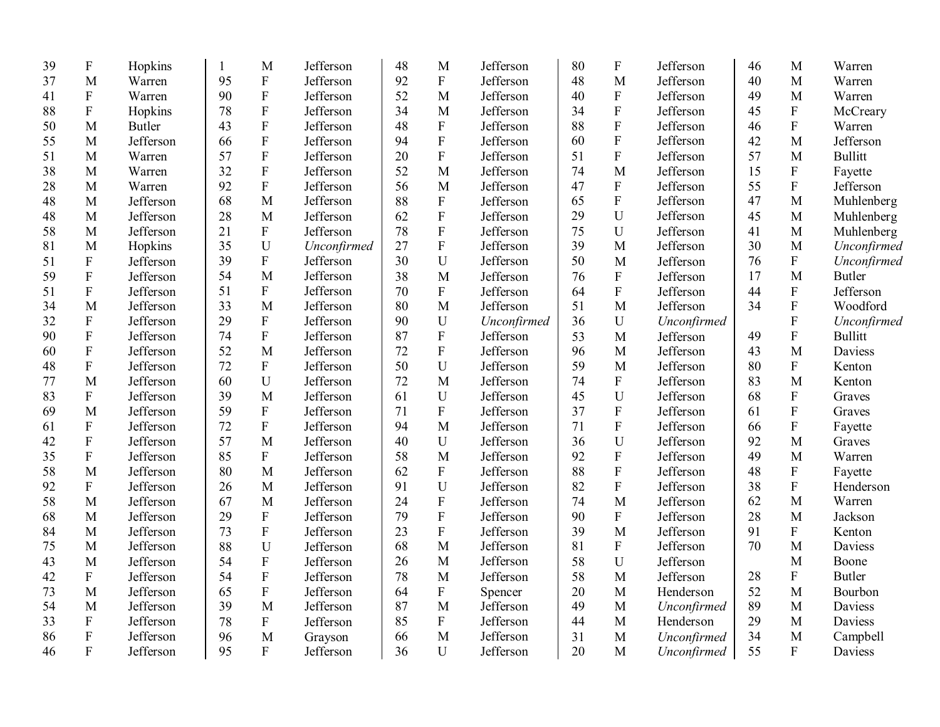| 39 | $\boldsymbol{\mathrm{F}}$ | Hopkins       | $\mathbf{1}$ | M                | Jefferson   | 48 | M                         | Jefferson   | 80 | ${\bf F}$                 | Jefferson   | 46 | M                         | Warren         |
|----|---------------------------|---------------|--------------|------------------|-------------|----|---------------------------|-------------|----|---------------------------|-------------|----|---------------------------|----------------|
| 37 | M                         | Warren        | 95           | ${\bf F}$        | Jefferson   | 92 | ${\bf F}$                 | Jefferson   | 48 | M                         | Jefferson   | 40 | M                         | Warren         |
| 41 | ${\bf F}$                 | Warren        | 90           | ${\bf F}$        | Jefferson   | 52 | M                         | Jefferson   | 40 | ${\bf F}$                 | Jefferson   | 49 | M                         | Warren         |
| 88 | ${\bf F}$                 | Hopkins       | 78           | ${\bf F}$        | Jefferson   | 34 | M                         | Jefferson   | 34 | ${\bf F}$                 | Jefferson   | 45 | ${\bf F}$                 | McCreary       |
| 50 | M                         | <b>Butler</b> | 43           | $\mathbf{F}$     | Jefferson   | 48 | $\boldsymbol{\mathrm{F}}$ | Jefferson   | 88 | $\overline{F}$            | Jefferson   | 46 | $\mathbf{F}$              | Warren         |
| 55 | M                         | Jefferson     | 66           | ${\bf F}$        | Jefferson   | 94 | ${\bf F}$                 | Jefferson   | 60 | $\overline{F}$            | Jefferson   | 42 | M                         | Jefferson      |
| 51 | M                         | Warren        | 57           | ${\bf F}$        | Jefferson   | 20 | ${\bf F}$                 | Jefferson   | 51 | ${\bf F}$                 | Jefferson   | 57 | M                         | <b>Bullitt</b> |
| 38 | M                         | Warren        | 32           | $\mathbf F$      | Jefferson   | 52 | M                         | Jefferson   | 74 | M                         | Jefferson   | 15 | $\boldsymbol{\mathrm{F}}$ | Fayette        |
| 28 | M                         | Warren        | 92           | $\overline{F}$   | Jefferson   | 56 | M                         | Jefferson   | 47 | $\overline{F}$            | Jefferson   | 55 | ${\bf F}$                 | Jefferson      |
| 48 | M                         | Jefferson     | 68           | M                | Jefferson   | 88 | ${\bf F}$                 | Jefferson   | 65 | $\boldsymbol{\mathrm{F}}$ | Jefferson   | 47 | M                         | Muhlenberg     |
| 48 | M                         | Jefferson     | 28           | M                | Jefferson   | 62 | ${\bf F}$                 | Jefferson   | 29 | U                         | Jefferson   | 45 | M                         | Muhlenberg     |
| 58 | M                         | Jefferson     | 21           | ${\bf F}$        | Jefferson   | 78 | ${\bf F}$                 | Jefferson   | 75 | U                         | Jefferson   | 41 | $\mathbf{M}$              | Muhlenberg     |
| 81 | M                         | Hopkins       | 35           | U                | Unconfirmed | 27 | ${\bf F}$                 | Jefferson   | 39 | M                         | Jefferson   | 30 | M                         | Unconfirmed    |
| 51 | ${\bf F}$                 | Jefferson     | 39           | ${\bf F}$        | Jefferson   | 30 | $\mathbf U$               | Jefferson   | 50 | M                         | Jefferson   | 76 | ${\bf F}$                 | Unconfirmed    |
| 59 | ${\bf F}$                 | Jefferson     | 54           | M                | Jefferson   | 38 | M                         | Jefferson   | 76 | ${\bf F}$                 | Jefferson   | 17 | M                         | <b>Butler</b>  |
| 51 | $\mathbf F$               | Jefferson     | 51           | ${\bf F}$        | Jefferson   | 70 | ${\bf F}$                 | Jefferson   | 64 | ${\bf F}$                 | Jefferson   | 44 | $\mathbf F$               | Jefferson      |
| 34 | M                         | Jefferson     | 33           | M                | Jefferson   | 80 | M                         | Jefferson   | 51 | M                         | Jefferson   | 34 | $\overline{F}$            | Woodford       |
| 32 | ${\bf F}$                 | Jefferson     | 29           | ${\bf F}$        | Jefferson   | 90 | $\mathbf U$               | Unconfirmed | 36 | $\mathbf U$               | Unconfirmed |    | $\mathbf F$               | Unconfirmed    |
| 90 | ${\bf F}$                 | Jefferson     | 74           | $\mathbf F$      | Jefferson   | 87 | ${\bf F}$                 | Jefferson   | 53 | M                         | Jefferson   | 49 | ${\bf F}$                 | <b>Bullitt</b> |
| 60 | ${\bf F}$                 | Jefferson     | 52           | M                | Jefferson   | 72 | ${\bf F}$                 | Jefferson   | 96 | M                         | Jefferson   | 43 | M                         | Daviess        |
| 48 | ${\bf F}$                 | Jefferson     | 72           | ${\bf F}$        | Jefferson   | 50 | $\mathbf U$               | Jefferson   | 59 | M                         | Jefferson   | 80 | ${\bf F}$                 | Kenton         |
| 77 | M                         | Jefferson     | 60           | $\mathbf U$      | Jefferson   | 72 | M                         | Jefferson   | 74 | ${\bf F}$                 | Jefferson   | 83 | M                         | Kenton         |
| 83 | $\mathbf F$               | Jefferson     | 39           | M                | Jefferson   | 61 | U                         | Jefferson   | 45 | U                         | Jefferson   | 68 | $\mathbf F$               | Graves         |
| 69 | M                         | Jefferson     | 59           | ${\bf F}$        | Jefferson   | 71 | ${\bf F}$                 | Jefferson   | 37 | ${\bf F}$                 | Jefferson   | 61 | ${\bf F}$                 | Graves         |
| 61 | $\mathbf F$               | Jefferson     | 72           | $\mathbf{F}$     | Jefferson   | 94 | M                         | Jefferson   | 71 | ${\bf F}$                 | Jefferson   | 66 | $\boldsymbol{\mathrm{F}}$ | Fayette        |
| 42 | $\overline{F}$            | Jefferson     | 57           | M                | Jefferson   | 40 | $\mathbf U$               | Jefferson   | 36 | U                         | Jefferson   | 92 | M                         | Graves         |
| 35 | ${\bf F}$                 | Jefferson     | 85           | $\boldsymbol{F}$ | Jefferson   | 58 | M                         | Jefferson   | 92 | ${\bf F}$                 | Jefferson   | 49 | M                         | Warren         |
| 58 | M                         | Jefferson     | 80           | M                | Jefferson   | 62 | ${\bf F}$                 | Jefferson   | 88 | ${\bf F}$                 | Jefferson   | 48 | $\boldsymbol{\mathrm{F}}$ | Fayette        |
| 92 | ${\bf F}$                 | Jefferson     | 26           | M                | Jefferson   | 91 | $\mathbf U$               | Jefferson   | 82 | ${\bf F}$                 | Jefferson   | 38 | ${\bf F}$                 | Henderson      |
| 58 | M                         | Jefferson     | 67           | M                | Jefferson   | 24 | ${\bf F}$                 | Jefferson   | 74 | M                         | Jefferson   | 62 | M                         | Warren         |
| 68 | M                         | Jefferson     | 29           | $\mathbf F$      | Jefferson   | 79 | ${\bf F}$                 | Jefferson   | 90 | $\mathbf F$               | Jefferson   | 28 | M                         | Jackson        |
| 84 | M                         | Jefferson     | 73           | ${\bf F}$        | Jefferson   | 23 | ${\bf F}$                 | Jefferson   | 39 | $\mathbf{M}$              | Jefferson   | 91 | $\boldsymbol{\mathrm{F}}$ | Kenton         |
| 75 | M                         | Jefferson     | 88           | U                | Jefferson   | 68 | M                         | Jefferson   | 81 | ${\bf F}$                 | Jefferson   | 70 | M                         | Daviess        |
| 43 | M                         | Jefferson     | 54           | ${\bf F}$        | Jefferson   | 26 | $\mathbf M$               | Jefferson   | 58 | U                         | Jefferson   |    | M                         | Boone          |
| 42 | ${\bf F}$                 | Jefferson     | 54           | $\mathbf F$      | Jefferson   | 78 | M                         | Jefferson   | 58 | M                         | Jefferson   | 28 | $\mathbf{F}$              | <b>Butler</b>  |
| 73 | M                         | Jefferson     | 65           | ${\bf F}$        | Jefferson   | 64 | ${\bf F}$                 | Spencer     | 20 | $\mathbf{M}$              | Henderson   | 52 | M                         | Bourbon        |
| 54 | M                         | Jefferson     | 39           | M                | Jefferson   | 87 | M                         | Jefferson   | 49 | M                         | Unconfirmed | 89 | $\mathbf{M}$              | Daviess        |
| 33 | ${\bf F}$                 | Jefferson     | 78           | ${\bf F}$        | Jefferson   | 85 | ${\bf F}$                 | Jefferson   | 44 | M                         | Henderson   | 29 | M                         | Daviess        |
| 86 | $\overline{F}$            | Jefferson     | 96           | M                | Grayson     | 66 | M                         | Jefferson   | 31 | M                         | Unconfirmed | 34 | M                         | Campbell       |
| 46 | $\overline{F}$            | Jefferson     | 95           | $\mathbf{F}$     | Jefferson   | 36 | U                         | Jefferson   | 20 | M                         | Unconfirmed | 55 | $\mathbf{F}$              | Daviess        |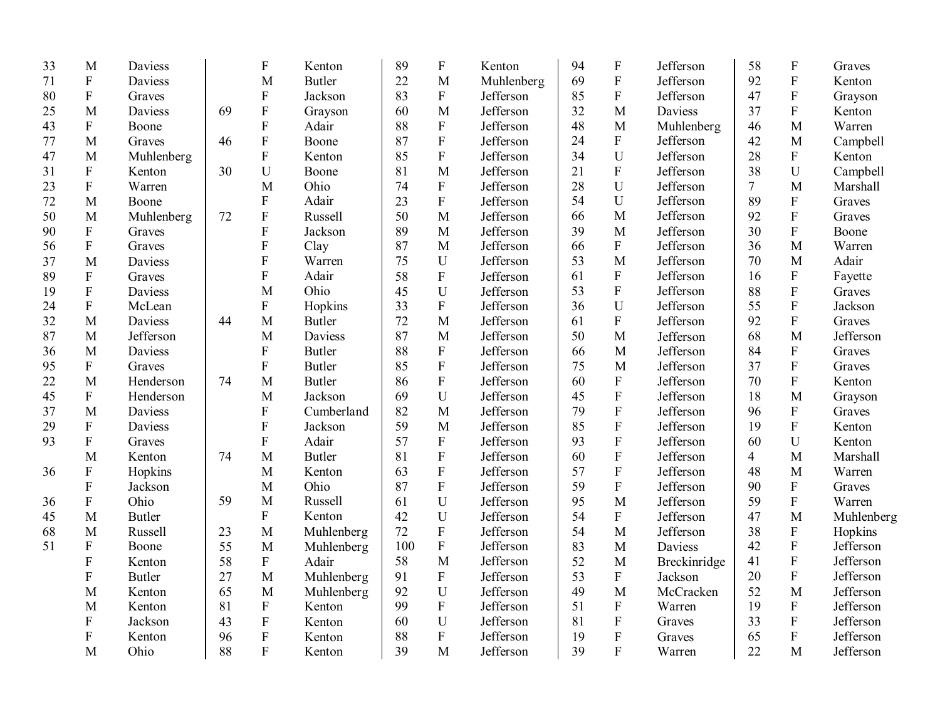| 33 | M                         | Daviess       |    | ${\bf F}$                 | Kenton        | 89  | ${\bf F}$                 | Kenton     | 94 | ${\bf F}$                 | Jefferson    | 58              | ${\bf F}$    | Graves     |
|----|---------------------------|---------------|----|---------------------------|---------------|-----|---------------------------|------------|----|---------------------------|--------------|-----------------|--------------|------------|
| 71 | ${\bf F}$                 | Daviess       |    | M                         | <b>Butler</b> | 22  | M                         | Muhlenberg | 69 | ${\bf F}$                 | Jefferson    | 92              | ${\bf F}$    | Kenton     |
| 80 | $\boldsymbol{\mathrm{F}}$ | Graves        |    | ${\bf F}$                 | Jackson       | 83  | $\boldsymbol{\mathrm{F}}$ | Jefferson  | 85 | ${\bf F}$                 | Jefferson    | 47              | ${\bf F}$    | Grayson    |
| 25 | M                         | Daviess       | 69 | ${\bf F}$                 | Grayson       | 60  | M                         | Jefferson  | 32 | M                         | Daviess      | 37              | ${\bf F}$    | Kenton     |
| 43 | $\mathbf F$               | Boone         |    | $\boldsymbol{\mathrm{F}}$ | Adair         | 88  | $\boldsymbol{\mathrm{F}}$ | Jefferson  | 48 | M                         | Muhlenberg   | 46              | M            | Warren     |
| 77 | M                         | Graves        | 46 | $\mathbf F$               | Boone         | 87  | ${\bf F}$                 | Jefferson  | 24 | $\mathbf F$               | Jefferson    | 42              | M            | Campbell   |
| 47 | M                         | Muhlenberg    |    | $\rm F$                   | Kenton        | 85  | ${\bf F}$                 | Jefferson  | 34 | U                         | Jefferson    | 28              | ${\bf F}$    | Kenton     |
| 31 | ${\bf F}$                 | Kenton        | 30 | U                         | Boone         | 81  | M                         | Jefferson  | 21 | $\boldsymbol{\mathrm{F}}$ | Jefferson    | 38              | ${\bf U}$    | Campbell   |
| 23 | ${\bf F}$                 | Warren        |    | M                         | Ohio          | 74  | $\boldsymbol{\mathrm{F}}$ | Jefferson  | 28 | $\mathbf U$               | Jefferson    | $7\phantom{.0}$ | M            | Marshall   |
| 72 | M                         | Boone         |    | ${\bf F}$                 | Adair         | 23  | $\mathbf F$               | Jefferson  | 54 | U                         | Jefferson    | 89              | ${\bf F}$    | Graves     |
| 50 | M                         | Muhlenberg    | 72 | ${\bf F}$                 | Russell       | 50  | M                         | Jefferson  | 66 | M                         | Jefferson    | 92              | ${\bf F}$    | Graves     |
| 90 | ${\bf F}$                 | Graves        |    | $\overline{F}$            | Jackson       | 89  | M                         | Jefferson  | 39 | M                         | Jefferson    | 30              | ${\bf F}$    | Boone      |
| 56 | ${\bf F}$                 | Graves        |    | $\overline{F}$            | Clay          | 87  | M                         | Jefferson  | 66 | $\boldsymbol{\mathrm{F}}$ | Jefferson    | 36              | M            | Warren     |
| 37 | M                         | Daviess       |    | ${\bf F}$                 | Warren        | 75  | U                         | Jefferson  | 53 | M                         | Jefferson    | 70              | M            | Adair      |
| 89 | ${\bf F}$                 | Graves        |    | ${\bf F}$                 | Adair         | 58  | ${\bf F}$                 | Jefferson  | 61 | $\boldsymbol{\mathrm{F}}$ | Jefferson    | 16              | ${\bf F}$    | Fayette    |
| 19 | ${\bf F}$                 | Daviess       |    | M                         | Ohio          | 45  | U                         | Jefferson  | 53 | ${\bf F}$                 | Jefferson    | 88              | $\rm F$      | Graves     |
| 24 | ${\bf F}$                 | McLean        |    | ${\bf F}$                 | Hopkins       | 33  | ${\bf F}$                 | Jefferson  | 36 | U                         | Jefferson    | 55              | ${\bf F}$    | Jackson    |
| 32 | M                         | Daviess       | 44 | M                         | <b>Butler</b> | 72  | M                         | Jefferson  | 61 | ${\bf F}$                 | Jefferson    | 92              | ${\bf F}$    | Graves     |
| 87 | M                         | Jefferson     |    | M                         | Daviess       | 87  | M                         | Jefferson  | 50 | M                         | Jefferson    | 68              | M            | Jefferson  |
| 36 | M                         | Daviess       |    | ${\bf F}$                 | <b>Butler</b> | 88  | $\boldsymbol{\mathrm{F}}$ | Jefferson  | 66 | M                         | Jefferson    | 84              | ${\bf F}$    | Graves     |
| 95 | ${\bf F}$                 | Graves        |    | $\overline{F}$            | <b>Butler</b> | 85  | $\overline{F}$            | Jefferson  | 75 | M                         | Jefferson    | 37              | $\mathbf{F}$ | Graves     |
| 22 | M                         | Henderson     | 74 | M                         | <b>Butler</b> | 86  | ${\bf F}$                 | Jefferson  | 60 | $\mathbf F$               | Jefferson    | 70              | ${\bf F}$    | Kenton     |
| 45 | $\boldsymbol{\mathrm{F}}$ | Henderson     |    | M                         | Jackson       | 69  | U                         | Jefferson  | 45 | ${\bf F}$                 | Jefferson    | 18              | M            | Grayson    |
| 37 | M                         | Daviess       |    | $\mathbf F$               | Cumberland    | 82  | M                         | Jefferson  | 79 | $\rm F$                   | Jefferson    | 96              | ${\bf F}$    | Graves     |
| 29 | ${\bf F}$                 | Daviess       |    | ${\bf F}$                 | Jackson       | 59  | M                         | Jefferson  | 85 | ${\bf F}$                 | Jefferson    | 19              | ${\bf F}$    | Kenton     |
| 93 | ${\bf F}$                 | Graves        |    | ${\bf F}$                 | Adair         | 57  | ${\bf F}$                 | Jefferson  | 93 | ${\bf F}$                 | Jefferson    | 60              | U            | Kenton     |
|    | M                         | Kenton        | 74 | M                         | <b>Butler</b> | 81  | $\mathbf{F}$              | Jefferson  | 60 | ${\bf F}$                 | Jefferson    | $\overline{4}$  | M            | Marshall   |
| 36 | ${\bf F}$                 | Hopkins       |    | M                         | Kenton        | 63  | ${\bf F}$                 | Jefferson  | 57 | ${\bf F}$                 | Jefferson    | 48              | M            | Warren     |
|    | ${\bf F}$                 | Jackson       |    | M                         | Ohio          | 87  | $\overline{F}$            | Jefferson  | 59 | $\rm F$                   | Jefferson    | 90              | ${\bf F}$    | Graves     |
| 36 | ${\bf F}$                 | Ohio          | 59 | M                         | Russell       | 61  | $\mathbf U$               | Jefferson  | 95 | $\mathbf{M}$              | Jefferson    | 59              | ${\bf F}$    | Warren     |
| 45 | M                         | <b>Butler</b> |    | ${\bf F}$                 | Kenton        | 42  | $\mathbf U$               | Jefferson  | 54 | ${\bf F}$                 | Jefferson    | 47              | M            | Muhlenberg |
| 68 | M                         | Russell       | 23 | M                         | Muhlenberg    | 72  | ${\bf F}$                 | Jefferson  | 54 | M                         | Jefferson    | 38              | $\mathbf F$  | Hopkins    |
| 51 | ${\bf F}$                 | Boone         | 55 | M                         | Muhlenberg    | 100 | $\mathbf F$               | Jefferson  | 83 | M                         | Daviess      | 42              | ${\bf F}$    | Jefferson  |
|    | F                         | Kenton        | 58 | ${\bf F}$                 | Adair         | 58  | M                         | Jefferson  | 52 | M                         | Breckinridge | 41              | ${\bf F}$    | Jefferson  |
|    | F                         | <b>Butler</b> | 27 | M                         | Muhlenberg    | 91  | $\boldsymbol{\mathrm{F}}$ | Jefferson  | 53 | $\mathbf{F}$              | Jackson      | 20              | ${\bf F}$    | Jefferson  |
|    | M                         | Kenton        | 65 | M                         | Muhlenberg    | 92  | U                         | Jefferson  | 49 | M                         | McCracken    | 52              | M            | Jefferson  |
|    | M                         | Kenton        | 81 | ${\bf F}$                 | Kenton        | 99  | ${\bf F}$                 | Jefferson  | 51 | ${\bf F}$                 | Warren       | 19              | ${\bf F}$    | Jefferson  |
|    | ${\bf F}$                 | Jackson       | 43 | ${\bf F}$                 | Kenton        | 60  | U                         | Jefferson  | 81 | ${\bf F}$                 | Graves       | 33              | ${\bf F}$    | Jefferson  |
|    | ${\bf F}$                 | Kenton        | 96 | ${\bf F}$                 | Kenton        | 88  | ${\bf F}$                 | Jefferson  | 19 | ${\bf F}$                 | Graves       | 65              | ${\bf F}$    | Jefferson  |
|    | M                         | Ohio          | 88 | $\overline{F}$            | Kenton        | 39  | M                         | Jefferson  | 39 | $\mathbf{F}$              | Warren       | 22              | M            | Jefferson  |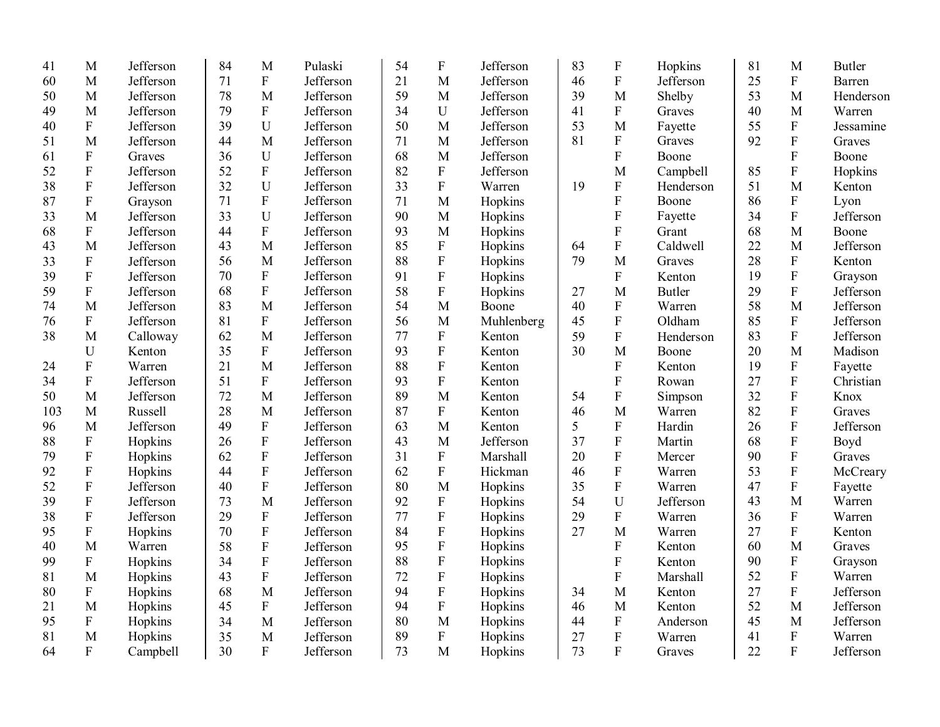| 41  | M                         | Jefferson | 84 | M                         | Pulaski   | 54 | ${\bf F}$        | Jefferson  | 83 | $\boldsymbol{\mathrm{F}}$ | Hopkins       | 81 | M                         | <b>Butler</b> |
|-----|---------------------------|-----------|----|---------------------------|-----------|----|------------------|------------|----|---------------------------|---------------|----|---------------------------|---------------|
| 60  | M                         | Jefferson | 71 | ${\bf F}$                 | Jefferson | 21 | M                | Jefferson  | 46 | ${\bf F}$                 | Jefferson     | 25 | ${\bf F}$                 | Barren        |
| 50  | M                         | Jefferson | 78 | M                         | Jefferson | 59 | M                | Jefferson  | 39 | M                         | Shelby        | 53 | M                         | Henderson     |
| 49  | M                         | Jefferson | 79 | $\mathbf F$               | Jefferson | 34 | U                | Jefferson  | 41 | ${\bf F}$                 | Graves        | 40 | M                         | Warren        |
| 40  | F                         | Jefferson | 39 | U                         | Jefferson | 50 | M                | Jefferson  | 53 | M                         | Fayette       | 55 | ${\bf F}$                 | Jessamine     |
| 51  | M                         | Jefferson | 44 | M                         | Jefferson | 71 | M                | Jefferson  | 81 | ${\bf F}$                 | Graves        | 92 | $\rm F$                   | Graves        |
| 61  | F                         | Graves    | 36 | U                         | Jefferson | 68 | M                | Jefferson  |    | ${\bf F}$                 | Boone         |    | $\rm F$                   | Boone         |
| 52  | $\mathbf F$               | Jefferson | 52 | ${\bf F}$                 | Jefferson | 82 | ${\bf F}$        | Jefferson  |    | M                         | Campbell      | 85 | ${\bf F}$                 | Hopkins       |
| 38  | ${\bf F}$                 | Jefferson | 32 | U                         | Jefferson | 33 | ${\bf F}$        | Warren     | 19 | ${\bf F}$                 | Henderson     | 51 | $\mathbf{M}$              | Kenton        |
| 87  | ${\bf F}$                 | Grayson   | 71 | $\boldsymbol{\mathrm{F}}$ | Jefferson | 71 | M                | Hopkins    |    | ${\bf F}$                 | Boone         | 86 | ${\bf F}$                 | Lyon          |
| 33  | M                         | Jefferson | 33 | $\mathbf U$               | Jefferson | 90 | M                | Hopkins    |    | ${\bf F}$                 | Fayette       | 34 | ${\bf F}$                 | Jefferson     |
| 68  | $\mathbf F$               | Jefferson | 44 | $\overline{F}$            | Jefferson | 93 | M                | Hopkins    |    | $\boldsymbol{F}$          | Grant         | 68 | M                         | Boone         |
| 43  | M                         | Jefferson | 43 | M                         | Jefferson | 85 | $\boldsymbol{F}$ | Hopkins    | 64 | ${\bf F}$                 | Caldwell      | 22 | M                         | Jefferson     |
| 33  | $\mathbf F$               | Jefferson | 56 | M                         | Jefferson | 88 | ${\bf F}$        | Hopkins    | 79 | M                         | Graves        | 28 | $\mathbf F$               | Kenton        |
| 39  | $\mathbf F$               | Jefferson | 70 | $\boldsymbol{\mathrm{F}}$ | Jefferson | 91 | ${\bf F}$        | Hopkins    |    | ${\bf F}$                 | Kenton        | 19 | $\rm F$                   | Grayson       |
| 59  | ${\bf F}$                 | Jefferson | 68 | $\boldsymbol{\mathrm{F}}$ | Jefferson | 58 | ${\bf F}$        | Hopkins    | 27 | M                         | <b>Butler</b> | 29 | $\rm F$                   | Jefferson     |
| 74  | M                         | Jefferson | 83 | M                         | Jefferson | 54 | $\mathbf{M}$     | Boone      | 40 | ${\bf F}$                 | Warren        | 58 | M                         | Jefferson     |
| 76  | $\mathbf{F}$              | Jefferson | 81 | $\mathbf{F}$              | Jefferson | 56 | M                | Muhlenberg | 45 | $\boldsymbol{\mathrm{F}}$ | Oldham        | 85 | ${\bf F}$                 | Jefferson     |
| 38  | M                         | Calloway  | 62 | M                         | Jefferson | 77 | $\mathbf{F}$     | Kenton     | 59 | ${\bf F}$                 | Henderson     | 83 | $\mathbf F$               | Jefferson     |
|     | U                         | Kenton    | 35 | $\mathbf F$               | Jefferson | 93 | $\mathbf{F}$     | Kenton     | 30 | M                         | Boone         | 20 | M                         | Madison       |
| 24  | $\overline{F}$            | Warren    | 21 | M                         | Jefferson | 88 | $\mathbf{F}$     | Kenton     |    | $\mathbf F$               | Kenton        | 19 | $\mathbf F$               | Fayette       |
| 34  | ${\bf F}$                 | Jefferson | 51 | $\boldsymbol{\mathrm{F}}$ | Jefferson | 93 | ${\bf F}$        | Kenton     |    | ${\bf F}$                 | Rowan         | 27 | $\rm F$                   | Christian     |
| 50  | M                         | Jefferson | 72 | M                         | Jefferson | 89 | M                | Kenton     | 54 | ${\bf F}$                 | Simpson       | 32 | $\rm F$                   | Knox          |
| 103 | M                         | Russell   | 28 | M                         | Jefferson | 87 | ${\bf F}$        | Kenton     | 46 | M                         | Warren        | 82 | $\rm F$                   | Graves        |
| 96  | M                         | Jefferson | 49 | $\overline{F}$            | Jefferson | 63 | M                | Kenton     | 5  | ${\bf F}$                 | Hardin        | 26 | $\overline{F}$            | Jefferson     |
| 88  | F                         | Hopkins   | 26 | ${\bf F}$                 | Jefferson | 43 | M                | Jefferson  | 37 | ${\bf F}$                 | Martin        | 68 | ${\bf F}$                 | Boyd          |
| 79  | ${\bf F}$                 | Hopkins   | 62 | $\rm F$                   | Jefferson | 31 | $\mathbf{F}$     | Marshall   | 20 | ${\bf F}$                 | Mercer        | 90 | $\rm F$                   | Graves        |
| 92  | $\mathbf F$               | Hopkins   | 44 | $\overline{F}$            | Jefferson | 62 | $\overline{F}$   | Hickman    | 46 | $\rm F$                   | Warren        | 53 | $\overline{F}$            | McCreary      |
| 52  | $\mathbf F$               | Jefferson | 40 | $\boldsymbol{\mathrm{F}}$ | Jefferson | 80 | M                | Hopkins    | 35 | ${\bf F}$                 | Warren        | 47 | $\rm F$                   | Fayette       |
| 39  | ${\bf F}$                 | Jefferson | 73 | M                         | Jefferson | 92 | ${\bf F}$        | Hopkins    | 54 | U                         | Jefferson     | 43 | M                         | Warren        |
| 38  | $\boldsymbol{\mathrm{F}}$ | Jefferson | 29 | $\boldsymbol{\mathrm{F}}$ | Jefferson | 77 | ${\bf F}$        | Hopkins    | 29 | ${\bf F}$                 | Warren        | 36 | ${\bf F}$                 | Warren        |
| 95  | ${\bf F}$                 | Hopkins   | 70 | $\mathbf F$               | Jefferson | 84 | ${\bf F}$        | Hopkins    | 27 | M                         | Warren        | 27 | ${\bf F}$                 | Kenton        |
| 40  | M                         | Warren    | 58 | $\rm F$                   | Jefferson | 95 | ${\bf F}$        | Hopkins    |    | ${\bf F}$                 | Kenton        | 60 | M                         | Graves        |
| 99  | ${\bf F}$                 | Hopkins   | 34 | $\boldsymbol{\mathrm{F}}$ | Jefferson | 88 | ${\bf F}$        | Hopkins    |    | ${\bf F}$                 | Kenton        | 90 | $\boldsymbol{\mathrm{F}}$ | Grayson       |
| 81  | M                         | Hopkins   | 43 | ${\bf F}$                 | Jefferson | 72 | ${\bf F}$        | Hopkins    |    | ${\bf F}$                 | Marshall      | 52 | $\overline{F}$            | Warren        |
| 80  | $\boldsymbol{\mathrm{F}}$ | Hopkins   | 68 | M                         | Jefferson | 94 | ${\bf F}$        | Hopkins    | 34 | M                         | Kenton        | 27 | $\overline{F}$            | Jefferson     |
| 21  | M                         | Hopkins   | 45 | ${\bf F}$                 | Jefferson | 94 | ${\bf F}$        | Hopkins    | 46 | M                         | Kenton        | 52 | M                         | Jefferson     |
| 95  | ${\bf F}$                 | Hopkins   | 34 | M                         | Jefferson | 80 | M                | Hopkins    | 44 | ${\bf F}$                 | Anderson      | 45 | M                         | Jefferson     |
| 81  | M                         | Hopkins   | 35 | M                         | Jefferson | 89 | ${\bf F}$        | Hopkins    | 27 | $\boldsymbol{\mathrm{F}}$ | Warren        | 41 | ${\bf F}$                 | Warren        |
| 64  | $\mathbf{F}$              | Campbell  | 30 | F                         | Jefferson | 73 | M                | Hopkins    | 73 | $\overline{F}$            | Graves        | 22 | $\mathbf{F}$              | Jefferson     |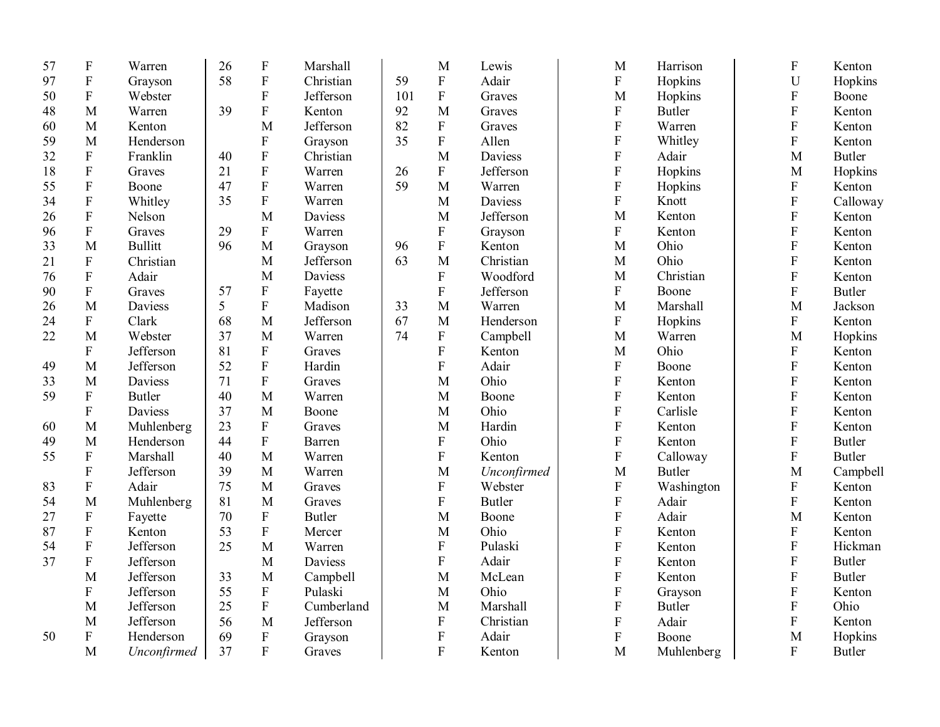| 57 | $\boldsymbol{\mathrm{F}}$ | Warren         | 26 | $\mathbf F$               | Marshall      |     | M                         | Lewis         | M                         | Harrison      | $\boldsymbol{\mathrm{F}}$ | Kenton        |
|----|---------------------------|----------------|----|---------------------------|---------------|-----|---------------------------|---------------|---------------------------|---------------|---------------------------|---------------|
| 97 | ${\bf F}$                 | Grayson        | 58 | $\boldsymbol{\mathrm{F}}$ | Christian     | 59  | ${\bf F}$                 | Adair         | ${\bf F}$                 | Hopkins       | U                         | Hopkins       |
| 50 | $\boldsymbol{F}$          | Webster        |    | ${\bf F}$                 | Jefferson     | 101 | ${\bf F}$                 | Graves        | M                         | Hopkins       | $\boldsymbol{\mathrm{F}}$ | Boone         |
| 48 | M                         | Warren         | 39 | ${\bf F}$                 | Kenton        | 92  | M                         | Graves        | ${\bf F}$                 | <b>Butler</b> | $\boldsymbol{\mathrm{F}}$ | Kenton        |
| 60 | M                         | Kenton         |    | M                         | Jefferson     | 82  | ${\bf F}$                 | Graves        | ${\bf F}$                 | Warren        | ${\bf F}$                 | Kenton        |
| 59 | M                         | Henderson      |    | ${\bf F}$                 | Grayson       | 35  | $\rm F$                   | Allen         | ${\bf F}$                 | Whitley       | $\mathbf{F}$              | Kenton        |
| 32 | ${\bf F}$                 | Franklin       | 40 | $\boldsymbol{\mathrm{F}}$ | Christian     |     | M                         | Daviess       | ${\bf F}$                 | Adair         | M                         | <b>Butler</b> |
| 18 | $\mathbf F$               | Graves         | 21 | $\overline{F}$            | Warren        | 26  | ${\bf F}$                 | Jefferson     | ${\bf F}$                 | Hopkins       | M                         | Hopkins       |
| 55 | ${\bf F}$                 | Boone          | 47 | $\boldsymbol{\mathrm{F}}$ | Warren        | 59  | M                         | Warren        | ${\bf F}$                 | Hopkins       | F                         | Kenton        |
| 34 | ${\bf F}$                 | Whitley        | 35 | ${\bf F}$                 | Warren        |     | M                         | Daviess       | ${\bf F}$                 | Knott         | $\boldsymbol{\mathrm{F}}$ | Calloway      |
| 26 | $\boldsymbol{F}$          | Nelson         |    | M                         | Daviess       |     | M                         | Jefferson     | M                         | Kenton        | $\boldsymbol{\mathrm{F}}$ | Kenton        |
| 96 | $\mathbf F$               | Graves         | 29 | ${\bf F}$                 | Warren        |     | ${\bf F}$                 | Grayson       | ${\bf F}$                 | Kenton        | $\boldsymbol{\mathrm{F}}$ | Kenton        |
| 33 | M                         | <b>Bullitt</b> | 96 | M                         | Grayson       | 96  | $\mathbf F$               | Kenton        | $\mathbf M$               | Ohio          | ${\bf F}$                 | Kenton        |
| 21 | ${\bf F}$                 | Christian      |    | M                         | Jefferson     | 63  | M                         | Christian     | $\mathbf{M}$              | Ohio          | $\mathbf{F}$              | Kenton        |
| 76 | ${\bf F}$                 | Adair          |    | $\mathbf{M}$              | Daviess       |     | $\rm F$                   | Woodford      | $\mathbf{M}$              | Christian     | ${\bf F}$                 | Kenton        |
| 90 | ${\bf F}$                 | Graves         | 57 | $\mathbf F$               | Fayette       |     | $\mathbf F$               | Jefferson     | ${\bf F}$                 | Boone         | ${\bf F}$                 | <b>Butler</b> |
| 26 | M                         | Daviess        | 5  | $\rm F$                   | Madison       | 33  | M                         | Warren        | $\mathbf M$               | Marshall      | M                         | Jackson       |
| 24 | ${\bf F}$                 | Clark          | 68 | M                         | Jefferson     | 67  | M                         | Henderson     | ${\bf F}$                 | Hopkins       | ${\bf F}$                 | Kenton        |
| 22 | M                         | Webster        | 37 | M                         | Warren        | 74  | $\boldsymbol{\mathrm{F}}$ | Campbell      | M                         | Warren        | M                         | Hopkins       |
|    | F                         | Jefferson      | 81 | ${\bf F}$                 | Graves        |     | $\boldsymbol{\mathrm{F}}$ | Kenton        | M                         | Ohio          | $\boldsymbol{\mathrm{F}}$ | Kenton        |
| 49 | M                         | Jefferson      | 52 | $\rm F$                   | Hardin        |     | F                         | Adair         | ${\bf F}$                 | Boone         | ${\bf F}$                 | Kenton        |
| 33 | M                         | Daviess        | 71 | $\rm F$                   | Graves        |     | M                         | Ohio          | ${\bf F}$                 | Kenton        | F                         | Kenton        |
| 59 | ${\bf F}$                 | <b>Butler</b>  | 40 | M                         | Warren        |     | M                         | Boone         | $\boldsymbol{\mathrm{F}}$ | Kenton        | $\boldsymbol{\mathrm{F}}$ | Kenton        |
|    | ${\bf F}$                 | Daviess        | 37 | M                         | Boone         |     | M                         | Ohio          | $\boldsymbol{\mathrm{F}}$ | Carlisle      | $\boldsymbol{\mathrm{F}}$ | Kenton        |
| 60 | M                         | Muhlenberg     | 23 | ${\bf F}$                 | Graves        |     | M                         | Hardin        | ${\bf F}$                 | Kenton        | ${\bf F}$                 | Kenton        |
| 49 | M                         | Henderson      | 44 | ${\bf F}$                 | Barren        |     | ${\bf F}$                 | Ohio          | $\mathbf F$               | Kenton        | F                         | <b>Butler</b> |
| 55 | $\boldsymbol{\mathrm{F}}$ | Marshall       | 40 | M                         | Warren        |     | $\boldsymbol{\mathrm{F}}$ | Kenton        | ${\bf F}$                 | Calloway      | F                         | <b>Butler</b> |
|    | $\boldsymbol{\mathrm{F}}$ | Jefferson      | 39 | M                         | Warren        |     | M                         | Unconfirmed   | M                         | <b>Butler</b> | M                         | Campbell      |
| 83 | ${\bf F}$                 | Adair          | 75 | M                         | Graves        |     | ${\bf F}$                 | Webster       | ${\bf F}$                 | Washington    | ${\bf F}$                 | Kenton        |
| 54 | M                         | Muhlenberg     | 81 | M                         | Graves        |     | ${\bf F}$                 | <b>Butler</b> | $\mathbf F$               | Adair         | $\boldsymbol{\mathrm{F}}$ | Kenton        |
| 27 | ${\bf F}$                 | Fayette        | 70 | $\rm F$                   | <b>Butler</b> |     | M                         | Boone         | ${\bf F}$                 | Adair         | M                         | Kenton        |
| 87 | $\boldsymbol{\mathrm{F}}$ | Kenton         | 53 | $\boldsymbol{\mathrm{F}}$ | Mercer        |     | M                         | Ohio          | ${\bf F}$                 | Kenton        | $\boldsymbol{\mathrm{F}}$ | Kenton        |
| 54 | ${\bf F}$                 | Jefferson      | 25 | M                         | Warren        |     | F                         | Pulaski       | ${\bf F}$                 | Kenton        | F                         | Hickman       |
| 37 | $\boldsymbol{\mathrm{F}}$ | Jefferson      |    | M                         | Daviess       |     | ${\bf F}$                 | Adair         | $\overline{F}$            | Kenton        | ${\bf F}$                 | <b>Butler</b> |
|    | M                         | Jefferson      | 33 | M                         | Campbell      |     | M                         | McLean        | ${\bf F}$                 | Kenton        | $\overline{F}$            | <b>Butler</b> |
|    | F                         | Jefferson      | 55 | $\boldsymbol{\mathrm{F}}$ | Pulaski       |     | M                         | Ohio          | $\mathbf F$               | Grayson       | $\boldsymbol{\mathrm{F}}$ | Kenton        |
|    | M                         | Jefferson      | 25 | $\rm F$                   | Cumberland    |     | M                         | Marshall      | ${\bf F}$                 | <b>Butler</b> | $\mathbf{F}$              | Ohio          |
|    | M                         | Jefferson      | 56 | M                         | Jefferson     |     | ${\bf F}$                 | Christian     | ${\bf F}$                 | Adair         | ${\bf F}$                 | Kenton        |
| 50 |                           |                |    |                           |               |     |                           |               |                           |               |                           |               |
|    | M                         | Unconfirmed    | 37 | $\overline{F}$            | Graves        |     | $\overline{F}$            | Kenton        | M                         | Muhlenberg    | $\mathbf F$               | <b>Butler</b> |
|    | F                         | Henderson      | 69 | $\rm F$                   | Grayson       |     | ${\bf F}$                 | Adair         | ${\bf F}$                 | Boone         | M                         | Hopkins       |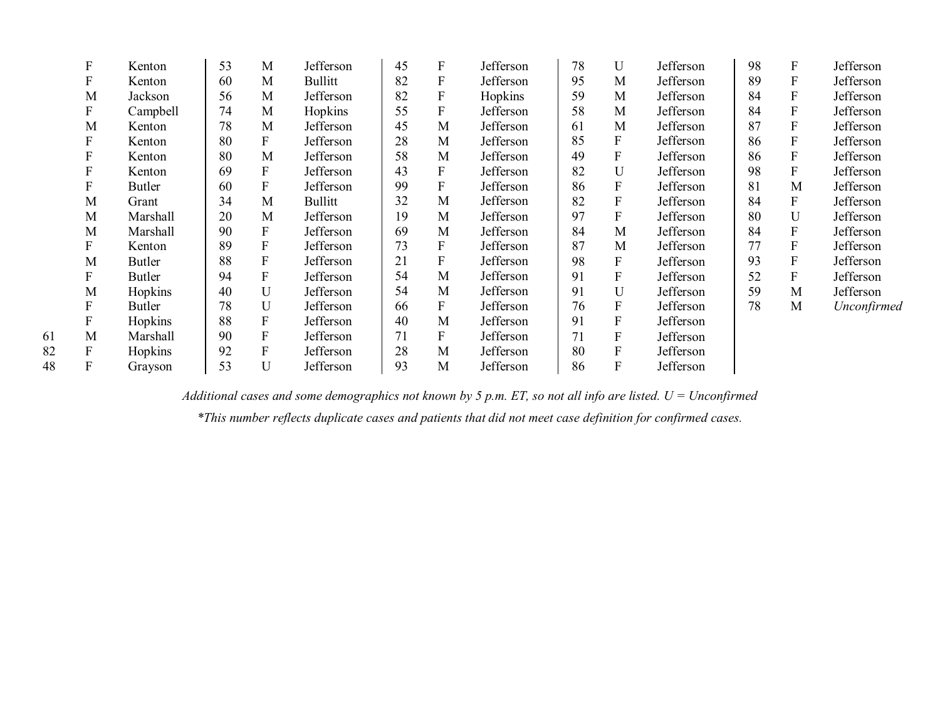|    | $\boldsymbol{F}$ | Kenton        | 53 | M | Jefferson      | 45 | F | Jefferson | 78 | U                         | Jefferson | 98 | $\mathbf{F}$     | Jefferson   |
|----|------------------|---------------|----|---|----------------|----|---|-----------|----|---------------------------|-----------|----|------------------|-------------|
|    | $\boldsymbol{F}$ | Kenton        | 60 | M | <b>Bullitt</b> | 82 | F | Jefferson | 95 | M                         | Jefferson | 89 | ${\bf F}$        | Jefferson   |
|    | M                | Jackson       | 56 | M | Jefferson      | 82 | F | Hopkins   | 59 | M                         | Jefferson | 84 | F                | Jefferson   |
|    | F                | Campbell      | 74 | M | Hopkins        | 55 | F | Jefferson | 58 | M                         | Jefferson | 84 | $\boldsymbol{F}$ | Jefferson   |
|    | M                | Kenton        | 78 | M | Jefferson      | 45 | M | Jefferson | 61 | M                         | Jefferson | 87 | $\boldsymbol{F}$ | Jefferson   |
|    | $\boldsymbol{F}$ | Kenton        | 80 | F | Jefferson      | 28 | M | Jefferson | 85 | $\boldsymbol{F}$          | Jefferson | 86 | $\boldsymbol{F}$ | Jefferson   |
|    | F                | Kenton        | 80 | M | Jefferson      | 58 | M | Jefferson | 49 | F                         | Jefferson | 86 | F                | Jefferson   |
|    | $\mathbf{F}$     | Kenton        | 69 | F | Jefferson      | 43 | F | Jefferson | 82 | $\mathbf U$               | Jefferson | 98 | F                | Jefferson   |
|    | F                | Butler        | 60 | F | Jefferson      | 99 | F | Jefferson | 86 | F                         | Jefferson | 81 | M                | Jefferson   |
|    | M                | Grant         | 34 | M | Bullitt        | 32 | M | Jefferson | 82 | F                         | Jefferson | 84 | $\mathbf F$      | Jefferson   |
|    | M                | Marshall      | 20 | M | Jefferson      | 19 | M | Jefferson | 97 | F                         | Jefferson | 80 | U                | Jefferson   |
|    | M                | Marshall      | 90 | F | Jefferson      | 69 | M | Jefferson | 84 | M                         | Jefferson | 84 | F                | Jefferson   |
|    | F                | Kenton        | 89 | F | Jefferson      | 73 | F | Jefferson | 87 | M                         | Jefferson | 77 | F                | Jefferson   |
|    | M                | <b>Butler</b> | 88 | F | Jefferson      | 21 | F | Jefferson | 98 | F                         | Jefferson | 93 | $\boldsymbol{F}$ | Jefferson   |
|    | $\mathbf{F}$     | Butler        | 94 | F | Jefferson      | 54 | M | Jefferson | 91 | $\boldsymbol{\mathrm{F}}$ | Jefferson | 52 | F                | Jefferson   |
|    | M                | Hopkins       | 40 | U | Jefferson      | 54 | M | Jefferson | 91 | U                         | Jefferson | 59 | M                | Jefferson   |
|    | $\mathbf{F}$     | Butler        | 78 | U | Jefferson      | 66 | F | Jefferson | 76 | F                         | Jefferson | 78 | M                | Unconfirmed |
|    | F                | Hopkins       | 88 | F | Jefferson      | 40 | M | Jefferson | 91 | F                         | Jefferson |    |                  |             |
| 61 | M                | Marshall      | 90 | F | Jefferson      | 71 | F | Jefferson | 71 | F                         | Jefferson |    |                  |             |
| 82 | F                | Hopkins       | 92 | F | Jefferson      | 28 | M | Jefferson | 80 | $\boldsymbol{\mathrm{F}}$ | Jefferson |    |                  |             |
| 48 | $\mathbf{F}$     | Grayson       | 53 | U | Jefferson      | 93 | M | Jefferson | 86 | F                         | Jefferson |    |                  |             |
|    |                  |               |    |   |                |    |   |           |    |                           |           |    |                  |             |

*Additional cases and some demographics not known by 5 p.m. ET, so not all info are listed. U = Unconfirmed*

 $48\,$ 

*\*This number reflects duplicate cases and patients that did not meet case definition for confirmed cases.*